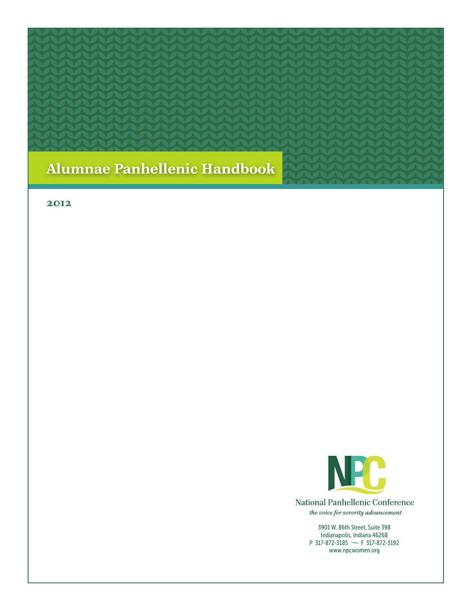

#### **2012**



**National Panhellenic Conference** the voice for sorority advancement

> 3901 W. 86th Street, Suite 398 Indianapolis, Indiana 46268 P 317-872-3185  $\sim$  F 317-872-3192 www.npcwomen.org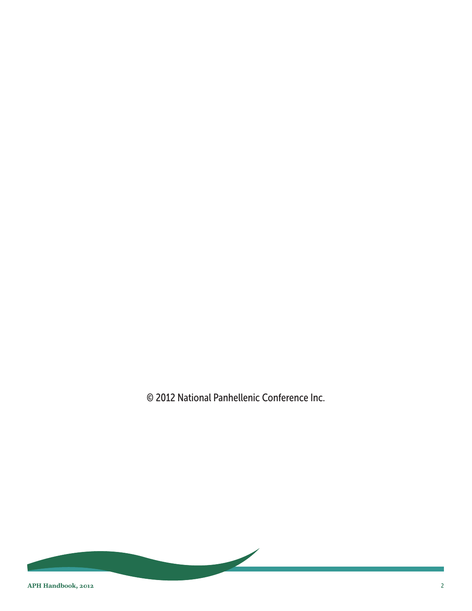© 2012 National Panhellenic Conference Inc.

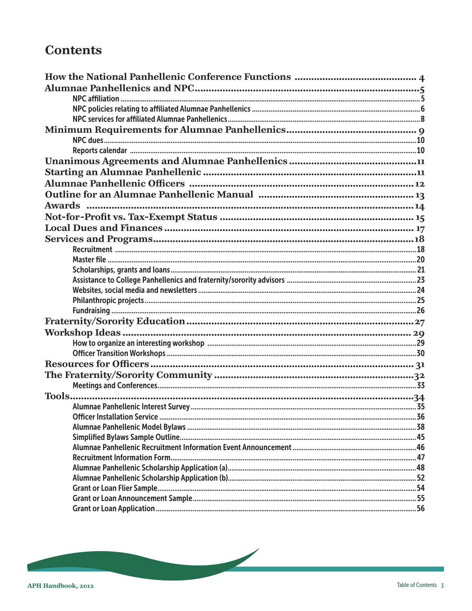# **Contents**

| $\sim$ 36<br>Officer Installation Service |  |
|-------------------------------------------|--|
|                                           |  |
|                                           |  |
|                                           |  |
|                                           |  |
|                                           |  |
|                                           |  |
|                                           |  |
|                                           |  |
|                                           |  |

 $\overline{\phantom{a}}$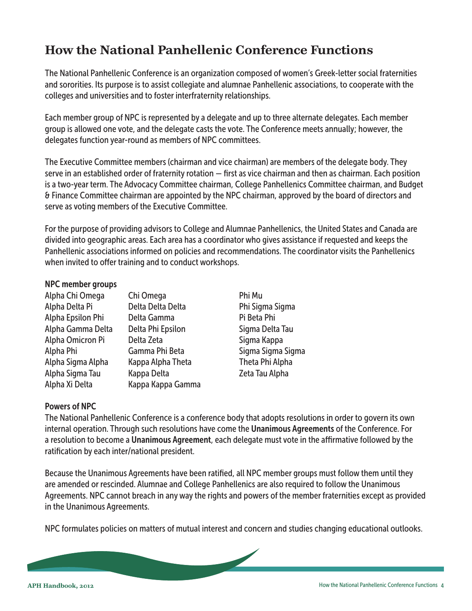# <span id="page-3-0"></span>**How the National Panhellenic Conference Functions**

The National Panhellenic Conference is an organization composed of women's Greek-letter social fraternities and sororities. Its purpose is to assist collegiate and alumnae Panhellenic associations, to cooperate with the colleges and universities and to foster interfraternity relationships.

Each member group of NPC is represented by a delegate and up to three alternate delegates. Each member group is allowed one vote, and the delegate casts the vote. The Conference meets annually; however, the delegates function year-round as members of NPC committees.

The Executive Committee members (chairman and vice chairman) are members of the delegate body. They serve in an established order of fraternity rotation — first as vice chairman and then as chairman. Each position is a two-year term. The Advocacy Committee chairman, College Panhellenics Committee chairman, and Budget & Finance Committee chairman are appointed by the NPC chairman, approved by the board of directors and serve as voting members of the Executive Committee.

For the purpose of providing advisors to College and Alumnae Panhellenics, the United States and Canada are divided into geographic areas. Each area has a coordinator who gives assistance if requested and keeps the Panhellenic associations informed on policies and recommendations. The coordinator visits the Panhellenics when invited to offer training and to conduct workshops.

#### NPC member groups

| Alpha Chi Omega   |  |
|-------------------|--|
| Alpha Delta Pi    |  |
| Alpha Epsilon Phi |  |
| Alpha Gamma Delta |  |
| Alpha Omicron Pi  |  |
| Alpha Phi         |  |
| Alpha Sigma Alpha |  |
| Alpha Sigma Tau   |  |
| Alpha Xi Delta    |  |

Alpha Chi Omega Chi Omega Phi Mu Delta Delta Delta **Phi Sigma Sigma** Alpha Epsilon Phi Delta Gamma Pi Beta Phi Delta Phi Epsilon Sigma Delta Tau Alpha Omicron Pi Delta Zeta Sigma Kappa Gamma Phi Beta Sigma Sigma Sigma Sigma Alpha Sigma Alpha Kappa Alpha Theta Theta Phi Alpha Kappa Delta **Xigma Tau Alpha** Kappa Kappa Gamma

## Powers of NPC

The National Panhellenic Conference is a conference body that adopts resolutions in order to govern its own internal operation. Through such resolutions have come the Unanimous Agreements of the Conference. For a resolution to become a Unanimous Agreement, each delegate must vote in the affirmative followed by the ratification by each inter/national president.

Because the Unanimous Agreements have been ratified, all NPC member groups must follow them until they are amended or rescinded. Alumnae and College Panhellenics are also required to follow the Unanimous Agreements. NPC cannot breach in any way the rights and powers of the member fraternities except as provided in the Unanimous Agreements.

NPC formulates policies on matters of mutual interest and concern and studies changing educational outlooks.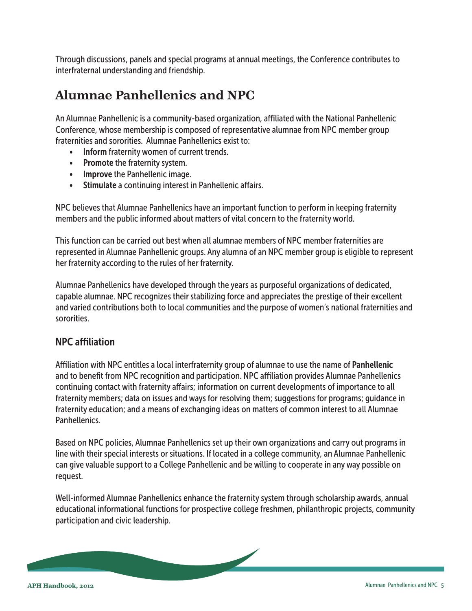<span id="page-4-0"></span>Through discussions, panels and special programs at annual meetings, the Conference contributes to interfraternal understanding and friendship.

# **Alumnae Panhellenics and NPC**

An Alumnae Panhellenic is a community-based organization, affiliated with the National Panhellenic Conference, whose membership is composed of representative alumnae from NPC member group fraternities and sororities. Alumnae Panhellenics exist to:

- Inform fraternity women of current trends.
- Promote the fraternity system.
- Improve the Panhellenic image.
- Stimulate a continuing interest in Panhellenic affairs.

NPC believes that Alumnae Panhellenics have an important function to perform in keeping fraternity members and the public informed about matters of vital concern to the fraternity world.

This function can be carried out best when all alumnae members of NPC member fraternities are represented in Alumnae Panhellenic groups. Any alumna of an NPC member group is eligible to represent her fraternity according to the rules of her fraternity.

Alumnae Panhellenics have developed through the years as purposeful organizations of dedicated, capable alumnae. NPC recognizes their stabilizing force and appreciates the prestige of their excellent and varied contributions both to local communities and the purpose of women's national fraternities and sororities.

## NPC affiliation

Affiliation with NPC entitles a local interfraternity group of alumnae to use the name of Panhellenic and to benefit from NPC recognition and participation. NPC affiliation provides Alumnae Panhellenics continuing contact with fraternity affairs; information on current developments of importance to all fraternity members; data on issues and ways for resolving them; suggestions for programs; guidance in fraternity education; and a means of exchanging ideas on matters of common interest to all Alumnae **Panhellenics** 

Based on NPC policies, Alumnae Panhellenics set up their own organizations and carry out programs in line with their special interests or situations. If located in a college community, an Alumnae Panhellenic can give valuable support to a College Panhellenic and be willing to cooperate in any way possible on request.

Well-informed Alumnae Panhellenics enhance the fraternity system through scholarship awards, annual educational informational functions for prospective college freshmen, philanthropic projects, community participation and civic leadership.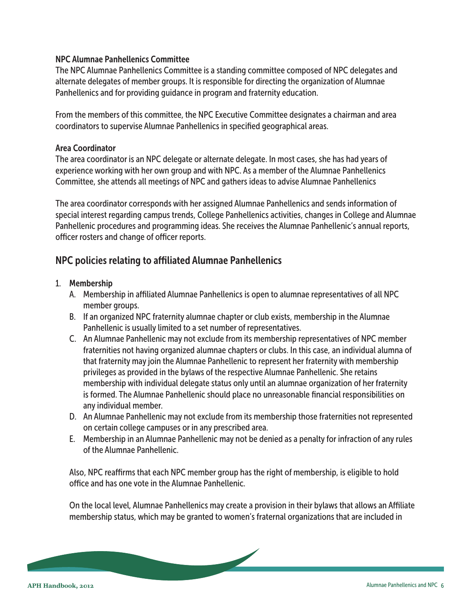#### <span id="page-5-0"></span>NPC Alumnae Panhellenics Committee

The NPC Alumnae Panhellenics Committee is a standing committee composed of NPC delegates and alternate delegates of member groups. It is responsible for directing the organization of Alumnae Panhellenics and for providing guidance in program and fraternity education.

From the members of this committee, the NPC Executive Committee designates a chairman and area coordinators to supervise Alumnae Panhellenics in specified geographical areas.

#### Area Coordinator

The area coordinator is an NPC delegate or alternate delegate. In most cases, she has had years of experience working with her own group and with NPC. As a member of the Alumnae Panhellenics Committee, she attends all meetings of NPC and gathers ideas to advise Alumnae Panhellenics

The area coordinator corresponds with her assigned Alumnae Panhellenics and sends information of special interest regarding campus trends, College Panhellenics activities, changes in College and Alumnae Panhellenic procedures and programming ideas. She receives the Alumnae Panhellenic's annual reports, officer rosters and change of officer reports.

## NPC policies relating to affiliated Alumnae Panhellenics

#### 1. Membership

- A. Membership in affiliated Alumnae Panhellenics is open to alumnae representatives of all NPC member groups.
- B. If an organized NPC fraternity alumnae chapter or club exists, membership in the Alumnae Panhellenic is usually limited to a set number of representatives.
- C. An Alumnae Panhellenic may not exclude from its membership representatives of NPC member fraternities not having organized alumnae chapters or clubs. In this case, an individual alumna of that fraternity may join the Alumnae Panhellenic to represent her fraternity with membership privileges as provided in the bylaws of the respective Alumnae Panhellenic. She retains membership with individual delegate status only until an alumnae organization of her fraternity is formed. The Alumnae Panhellenic should place no unreasonable financial responsibilities on any individual member.
- D. An Alumnae Panhellenic may not exclude from its membership those fraternities not represented on certain college campuses or in any prescribed area.
- E. Membership in an Alumnae Panhellenic may not be denied as a penalty for infraction of any rules of the Alumnae Panhellenic.

Also, NPC reaffirms that each NPC member group has the right of membership, is eligible to hold office and has one vote in the Alumnae Panhellenic.

On the local level, Alumnae Panhellenics may create a provision in their bylaws that allows an Affiliate membership status, which may be granted to women's fraternal organizations that are included in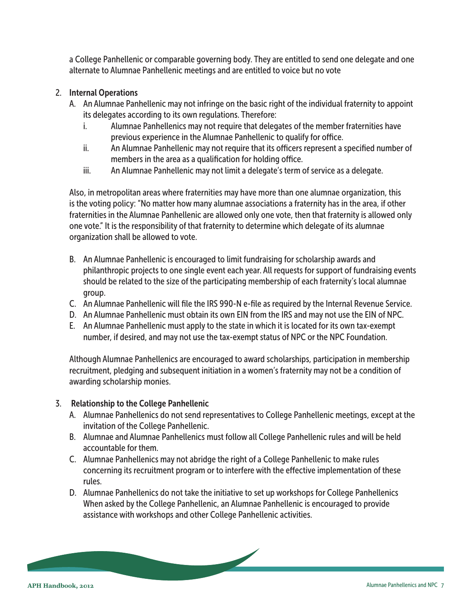a College Panhellenic or comparable governing body. They are entitled to send one delegate and one alternate to Alumnae Panhellenic meetings and are entitled to voice but no vote

#### 2. Internal Operations

- A. An Alumnae Panhellenic may not infringe on the basic right of the individual fraternity to appoint its delegates according to its own regulations. Therefore:
	- i. Alumnae Panhellenics may not require that delegates of the member fraternities have previous experience in the Alumnae Panhellenic to qualify for office.
	- ii. An Alumnae Panhellenic may not require that its officers represent a specified number of members in the area as a qualification for holding office.
	- iii. An Alumnae Panhellenic may not limit a delegate's term of service as a delegate.

Also, in metropolitan areas where fraternities may have more than one alumnae organization, this is the voting policy: "No matter how many alumnae associations a fraternity has in the area, if other fraternities in the Alumnae Panhellenic are allowed only one vote, then that fraternity is allowed only one vote." It is the responsibility of that fraternity to determine which delegate of its alumnae organization shall be allowed to vote.

- B. An Alumnae Panhellenic is encouraged to limit fundraising for scholarship awards and philanthropic projects to one single event each year. All requests for support of fundraising events should be related to the size of the participating membership of each fraternity's local alumnae group.
- C. An Alumnae Panhellenic will file the IRS 990-N e-file as required by the Internal Revenue Service.
- D. An Alumnae Panhellenic must obtain its own EIN from the IRS and may not use the EIN of NPC.
- E. An Alumnae Panhellenic must apply to the state in which it is located for its own tax-exempt number, if desired, and may not use the tax-exempt status of NPC or the NPC Foundation.

Although Alumnae Panhellenics are encouraged to award scholarships, participation in membership recruitment, pledging and subsequent initiation in a women's fraternity may not be a condition of awarding scholarship monies.

## 3. Relationship to the College Panhellenic

- A. Alumnae Panhellenics do not send representatives to College Panhellenic meetings, except at the invitation of the College Panhellenic.
- B. Alumnae and Alumnae Panhellenics must follow all College Panhellenic rules and will be held accountable for them.
- C. Alumnae Panhellenics may not abridge the right of a College Panhellenic to make rules concerning its recruitment program or to interfere with the effective implementation of these rules.
- D. Alumnae Panhellenics do not take the initiative to set up workshops for College Panhellenics When asked by the College Panhellenic, an Alumnae Panhellenic is encouraged to provide assistance with workshops and other College Panhellenic activities.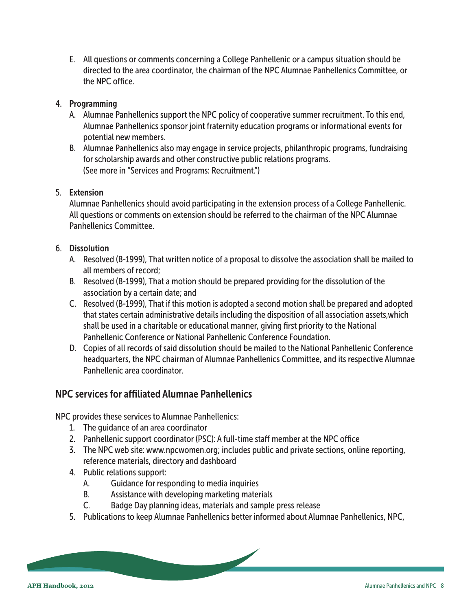<span id="page-7-0"></span>E. All questions or comments concerning a College Panhellenic or a campus situation should be directed to the area coordinator, the chairman of the NPC Alumnae Panhellenics Committee, or the NPC office.

## 4. Programming

- A. Alumnae Panhellenics support the NPC policy of cooperative summer recruitment. To this end, Alumnae Panhellenics sponsor joint fraternity education programs or informational events for potential new members.
- B. Alumnae Panhellenics also may engage in service projects, philanthropic programs, fundraising for scholarship awards and other constructive public relations programs. (See more in "Services and Programs: Recruitment.")

## 5. Extension

Alumnae Panhellenics should avoid participating in the extension process of a College Panhellenic. All questions or comments on extension should be referred to the chairman of the NPC Alumnae Panhellenics Committee.

## 6. Dissolution

- A. Resolved (B-1999), That written notice of a proposal to dissolve the association shall be mailed to all members of record;
- B. Resolved (B-1999), That a motion should be prepared providing for the dissolution of the association by a certain date; and
- C. Resolved (B-1999), That if this motion is adopted a second motion shall be prepared and adopted that states certain administrative details including the disposition of all association assets,which shall be used in a charitable or educational manner, giving first priority to the National Panhellenic Conference or National Panhellenic Conference Foundation.
- D. Copies of all records of said dissolution should be mailed to the National Panhellenic Conference headquarters, the NPC chairman of Alumnae Panhellenics Committee, and its respective Alumnae Panhellenic area coordinator.

## NPC services for affiliated Alumnae Panhellenics

NPC provides these services to Alumnae Panhellenics:

- 1. The guidance of an area coordinator
- 2. Panhellenic support coordinator (PSC): A full-time staff member at the NPC office
- 3. The NPC web site: www.npcwomen.org; includes public and private sections, online reporting, reference materials, directory and dashboard
- 4. Public relations support:
	- A. Guidance for responding to media inquiries
	- B. Assistance with developing marketing materials
	- C. Badge Day planning ideas, materials and sample press release
- 5. Publications to keep Alumnae Panhellenics better informed about Alumnae Panhellenics, NPC,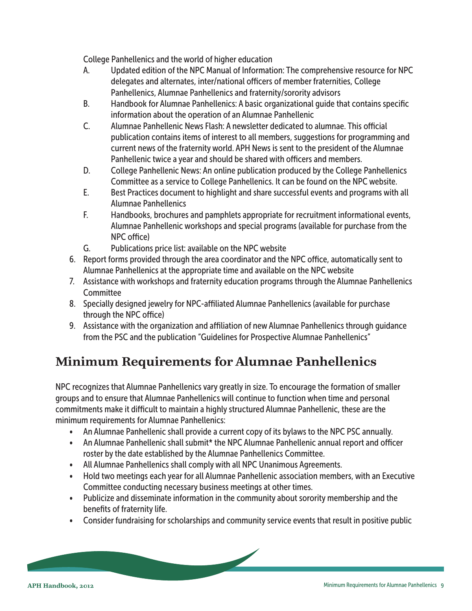<span id="page-8-0"></span>College Panhellenics and the world of higher education

- A. Updated edition of the NPC Manual of Information: The comprehensive resource for NPC delegates and alternates, inter/national officers of member fraternities, College Panhellenics, Alumnae Panhellenics and fraternity/sorority advisors
- B. Handbook for Alumnae Panhellenics: A basic organizational guide that contains specific information about the operation of an Alumnae Panhellenic
- C. Alumnae Panhellenic News Flash: A newsletter dedicated to alumnae. This official publication contains items of interest to all members, suggestions for programming and current news of the fraternity world. APH News is sent to the president of the Alumnae Panhellenic twice a year and should be shared with officers and members.
- D. College Panhellenic News: An online publication produced by the College Panhellenics Committee as a service to College Panhellenics. It can be found on the NPC website.
- E. Best Practices document to highlight and share successful events and programs with all Alumnae Panhellenics
- F. Handbooks, brochures and pamphlets appropriate for recruitment informational events, Alumnae Panhellenic workshops and special programs (available for purchase from the NPC office)
- G. Publications price list: available on the NPC website
- 6. Report forms provided through the area coordinator and the NPC office, automatically sent to Alumnae Panhellenics at the appropriate time and available on the NPC website
- 7. Assistance with workshops and fraternity education programs through the Alumnae Panhellenics **Committee**
- 8. Specially designed jewelry for NPC-affiliated Alumnae Panhellenics (available for purchase through the NPC office)
- 9. Assistance with the organization and affiliation of new Alumnae Panhellenics through guidance from the PSC and the publication "Guidelines for Prospective Alumnae Panhellenics"

# **Minimum Requirements for Alumnae Panhellenics**

NPC recognizes that Alumnae Panhellenics vary greatly in size. To encourage the formation of smaller groups and to ensure that Alumnae Panhellenics will continue to function when time and personal commitments make it difficult to maintain a highly structured Alumnae Panhellenic, these are the minimum requirements for Alumnae Panhellenics:

- An Alumnae Panhellenic shall provide a current copy of its bylaws to the NPC PSC annually.
- An Alumnae Panhellenic shall submit\* the NPC Alumnae Panhellenic annual report and officer roster by the date established by the Alumnae Panhellenics Committee.
- All Alumnae Panhellenics shall comply with all NPC Unanimous Agreements.
- Hold two meetings each year for all Alumnae Panhellenic association members, with an Executive Committee conducting necessary business meetings at other times.
- Publicize and disseminate information in the community about sorority membership and the benefits of fraternity life.
- Consider fundraising for scholarships and community service events that result in positive public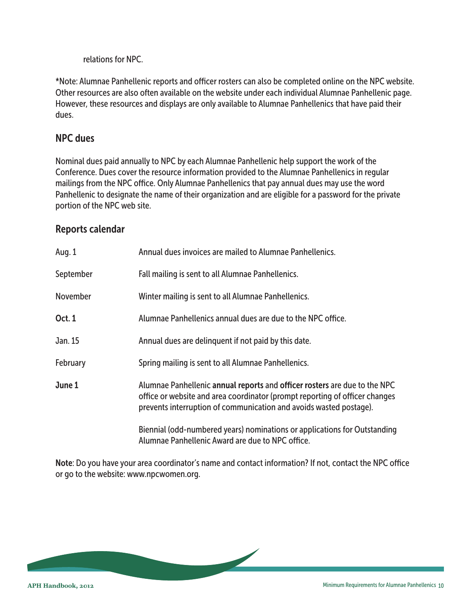relations for NPC.

<span id="page-9-0"></span>\*Note: Alumnae Panhellenic reports and officer rosters can also be completed online on the NPC website. Other resources are also often available on the website under each individual Alumnae Panhellenic page. However, these resources and displays are only available to Alumnae Panhellenics that have paid their dues.

## NPC dues

Nominal dues paid annually to NPC by each Alumnae Panhellenic help support the work of the Conference. Dues cover the resource information provided to the Alumnae Panhellenics in regular mailings from the NPC office. Only Alumnae Panhellenics that pay annual dues may use the word Panhellenic to designate the name of their organization and are eligible for a password for the private portion of the NPC web site.

## Reports calendar

| Aug. 1        | Annual dues invoices are mailed to Alumnae Panhellenics.                                                                                                                                                                       |
|---------------|--------------------------------------------------------------------------------------------------------------------------------------------------------------------------------------------------------------------------------|
| September     | Fall mailing is sent to all Alumnae Panhellenics.                                                                                                                                                                              |
| November      | Winter mailing is sent to all Alumnae Panhellenics.                                                                                                                                                                            |
| <b>Oct. 1</b> | Alumnae Panhellenics annual dues are due to the NPC office.                                                                                                                                                                    |
| Jan. 15       | Annual dues are delinguent if not paid by this date.                                                                                                                                                                           |
| February      | Spring mailing is sent to all Alumnae Panhellenics.                                                                                                                                                                            |
| June 1        | Alumnae Panhellenic annual reports and officer rosters are due to the NPC<br>office or website and area coordinator (prompt reporting of officer changes<br>prevents interruption of communication and avoids wasted postage). |
|               | Biennial (odd-numbered years) nominations or applications for Outstanding<br>Alumnae Panhellenic Award are due to NPC office.                                                                                                  |

Note: Do you have your area coordinator's name and contact information? If not, contact the NPC office or go to the website: www.npcwomen.org.

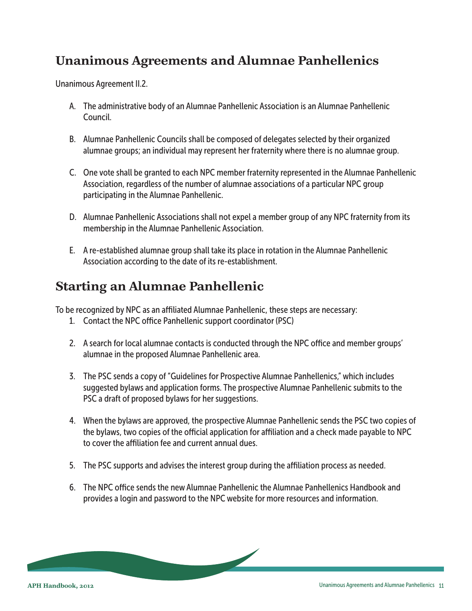# <span id="page-10-0"></span>**Unanimous Agreements and Alumnae Panhellenics**

Unanimous Agreement II.2.

- A. The administrative body of an Alumnae Panhellenic Association is an Alumnae Panhellenic Council.
- B. Alumnae Panhellenic Councils shall be composed of delegates selected by their organized alumnae groups; an individual may represent her fraternity where there is no alumnae group.
- C. One vote shall be granted to each NPC member fraternity represented in the Alumnae Panhellenic Association, regardless of the number of alumnae associations of a particular NPC group participating in the Alumnae Panhellenic.
- D. Alumnae Panhellenic Associations shall not expel a member group of any NPC fraternity from its membership in the Alumnae Panhellenic Association.
- E. A re-established alumnae group shall take its place in rotation in the Alumnae Panhellenic Association according to the date of its re-establishment.

## **Starting an Alumnae Panhellenic**

To be recognized by NPC as an affiliated Alumnae Panhellenic, these steps are necessary:

- 1. Contact the NPC office Panhellenic support coordinator (PSC)
- 2. A search for local alumnae contacts is conducted through the NPC office and member groups' alumnae in the proposed Alumnae Panhellenic area.
- 3. The PSC sends a copy of "Guidelines for Prospective Alumnae Panhellenics," which includes suggested bylaws and application forms. The prospective Alumnae Panhellenic submits to the PSC a draft of proposed bylaws for her suggestions.
- 4. When the bylaws are approved, the prospective Alumnae Panhellenic sends the PSC two copies of the bylaws, two copies of the official application for affiliation and a check made payable to NPC to cover the affiliation fee and current annual dues.
- 5. The PSC supports and advises the interest group during the affiliation process as needed.
- 6. The NPC office sends the new Alumnae Panhellenic the Alumnae Panhellenics Handbook and provides a login and password to the NPC website for more resources and information.

 $\overline{\phantom{a}}$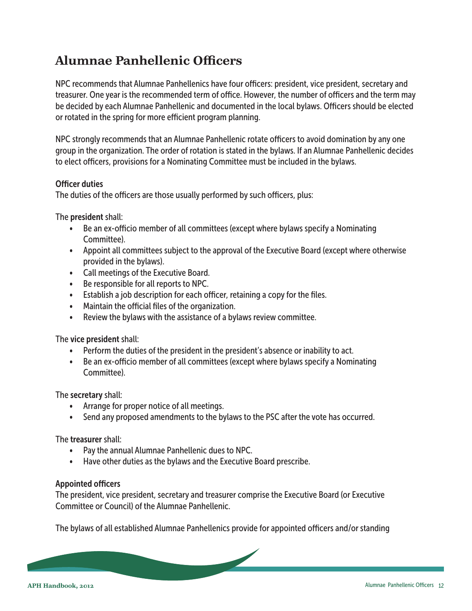# <span id="page-11-0"></span>**Alumnae Panhellenic Officers**

NPC recommends that Alumnae Panhellenics have four officers: president, vice president, secretary and treasurer. One year is the recommended term of office. However, the number of officers and the term may be decided by each Alumnae Panhellenic and documented in the local bylaws. Officers should be elected or rotated in the spring for more efficient program planning.

NPC strongly recommends that an Alumnae Panhellenic rotate officers to avoid domination by any one group in the organization. The order of rotation is stated in the bylaws. If an Alumnae Panhellenic decides to elect officers, provisions for a Nominating Committee must be included in the bylaws.

#### Officer duties

The duties of the officers are those usually performed by such officers, plus:

The president shall:

- Be an ex-officio member of all committees (except where bylaws specify a Nominating Committee).
- Appoint all committees subject to the approval of the Executive Board (except where otherwise provided in the bylaws).
- Call meetings of the Executive Board.
- Be responsible for all reports to NPC.
- Establish a job description for each officer, retaining a copy for the files.
- Maintain the official files of the organization.
- Review the bylaws with the assistance of a bylaws review committee.

The vice president shall:

- Perform the duties of the president in the president's absence or inability to act.
- Be an ex-officio member of all committees (except where bylaws specify a Nominating Committee).

The secretary shall:

- Arrange for proper notice of all meetings.
- Send any proposed amendments to the bylaws to the PSC after the vote has occurred.

The treasurer shall:

- Pay the annual Alumnae Panhellenic dues to NPC.
- Have other duties as the bylaws and the Executive Board prescribe.

#### Appointed officers

The president, vice president, secretary and treasurer comprise the Executive Board (or Executive Committee or Council) of the Alumnae Panhellenic.

The bylaws of all established Alumnae Panhellenics provide for appointed officers and/or standing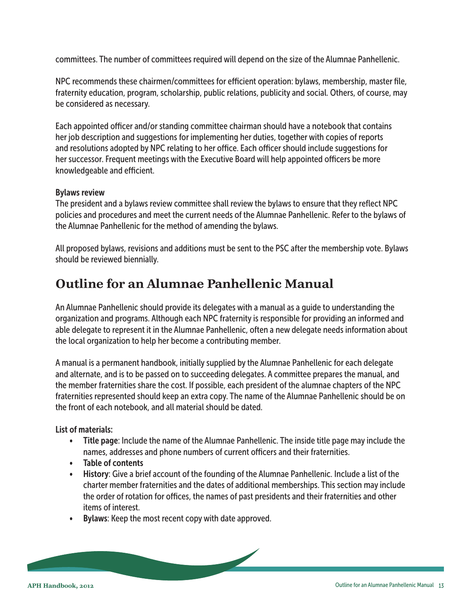<span id="page-12-0"></span>committees. The number of committees required will depend on the size of the Alumnae Panhellenic.

NPC recommends these chairmen/committees for efficient operation: bylaws, membership, master file, fraternity education, program, scholarship, public relations, publicity and social. Others, of course, may be considered as necessary.

Each appointed officer and/or standing committee chairman should have a notebook that contains her job description and suggestions for implementing her duties, together with copies of reports and resolutions adopted by NPC relating to her office. Each officer should include suggestions for her successor. Frequent meetings with the Executive Board will help appointed officers be more knowledgeable and efficient.

#### Bylaws review

The president and a bylaws review committee shall review the bylaws to ensure that they reflect NPC policies and procedures and meet the current needs of the Alumnae Panhellenic. Refer to the bylaws of the Alumnae Panhellenic for the method of amending the bylaws.

All proposed bylaws, revisions and additions must be sent to the PSC after the membership vote. Bylaws should be reviewed biennially.

## **Outline for an Alumnae Panhellenic Manual**

An Alumnae Panhellenic should provide its delegates with a manual as a guide to understanding the organization and programs. Although each NPC fraternity is responsible for providing an informed and able delegate to represent it in the Alumnae Panhellenic, often a new delegate needs information about the local organization to help her become a contributing member.

A manual is a permanent handbook, initially supplied by the Alumnae Panhellenic for each delegate and alternate, and is to be passed on to succeeding delegates. A committee prepares the manual, and the member fraternities share the cost. If possible, each president of the alumnae chapters of the NPC fraternities represented should keep an extra copy. The name of the Alumnae Panhellenic should be on the front of each notebook, and all material should be dated.

## List of materials:

- Title page: Include the name of the Alumnae Panhellenic. The inside title page may include the names, addresses and phone numbers of current officers and their fraternities.
- Table of contents
- History: Give a brief account of the founding of the Alumnae Panhellenic. Include a list of the charter member fraternities and the dates of additional memberships. This section may include the order of rotation for offices, the names of past presidents and their fraternities and other items of interest.
- Bylaws: Keep the most recent copy with date approved.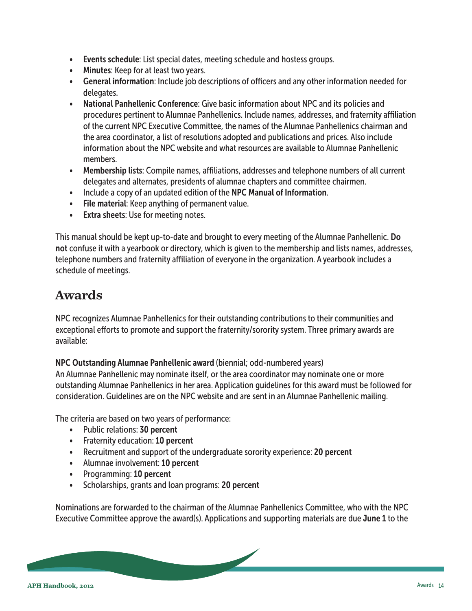- <span id="page-13-0"></span>• Events schedule: List special dates, meeting schedule and hostess groups.
- Minutes: Keep for at least two years.
- General information: Include job descriptions of officers and any other information needed for delegates.
- National Panhellenic Conference: Give basic information about NPC and its policies and procedures pertinent to Alumnae Panhellenics. Include names, addresses, and fraternity affiliation of the current NPC Executive Committee, the names of the Alumnae Panhellenics chairman and the area coordinator, a list of resolutions adopted and publications and prices. Also include information about the NPC website and what resources are available to Alumnae Panhellenic members.
- Membership lists: Compile names, affiliations, addresses and telephone numbers of all current delegates and alternates, presidents of alumnae chapters and committee chairmen.
- Include a copy of an updated edition of the NPC Manual of Information.
- File material: Keep anything of permanent value.
- Extra sheets: Use for meeting notes.

This manual should be kept up-to-date and brought to every meeting of the Alumnae Panhellenic. Do not confuse it with a yearbook or directory, which is given to the membership and lists names, addresses, telephone numbers and fraternity affiliation of everyone in the organization. A yearbook includes a schedule of meetings.

# **Awards**

NPC recognizes Alumnae Panhellenics for their outstanding contributions to their communities and exceptional efforts to promote and support the fraternity/sorority system. Three primary awards are available:

NPC Outstanding Alumnae Panhellenic award (biennial; odd-numbered years)

An Alumnae Panhellenic may nominate itself, or the area coordinator may nominate one or more outstanding Alumnae Panhellenics in her area. Application guidelines for this award must be followed for consideration. Guidelines are on the NPC website and are sent in an Alumnae Panhellenic mailing.

The criteria are based on two years of performance:

- Public relations: 30 percent
- Fraternity education: 10 percent
- Recruitment and support of the undergraduate sorority experience: 20 percent
- Alumnae involvement: 10 percent
- Programming: 10 percent
- Scholarships, grants and loan programs: 20 percent

Nominations are forwarded to the chairman of the Alumnae Panhellenics Committee, who with the NPC Executive Committee approve the award(s). Applications and supporting materials are due June 1 to the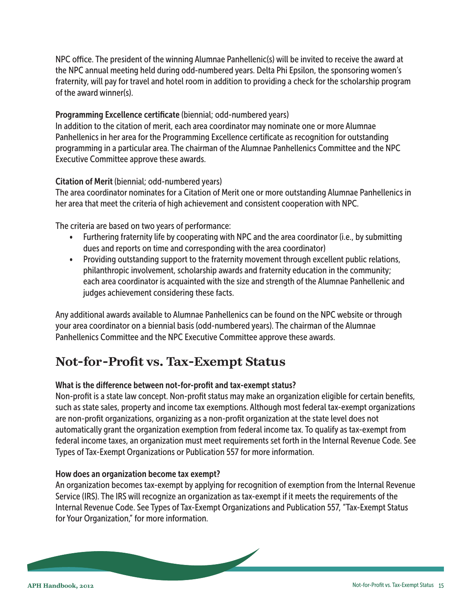<span id="page-14-0"></span>NPC office. The president of the winning Alumnae Panhellenic(s) will be invited to receive the award at the NPC annual meeting held during odd-numbered years. Delta Phi Epsilon, the sponsoring women's fraternity, will pay for travel and hotel room in addition to providing a check for the scholarship program of the award winner(s).

#### Programming Excellence certificate (biennial; odd-numbered years)

In addition to the citation of merit, each area coordinator may nominate one or more Alumnae Panhellenics in her area for the Programming Excellence certificate as recognition for outstanding programming in a particular area. The chairman of the Alumnae Panhellenics Committee and the NPC Executive Committee approve these awards.

#### Citation of Merit (biennial; odd-numbered years)

The area coordinator nominates for a Citation of Merit one or more outstanding Alumnae Panhellenics in her area that meet the criteria of high achievement and consistent cooperation with NPC.

The criteria are based on two years of performance:

- Furthering fraternity life by cooperating with NPC and the area coordinator (i.e., by submitting dues and reports on time and corresponding with the area coordinator)
- Providing outstanding support to the fraternity movement through excellent public relations, philanthropic involvement, scholarship awards and fraternity education in the community; each area coordinator is acquainted with the size and strength of the Alumnae Panhellenic and judges achievement considering these facts.

Any additional awards available to Alumnae Panhellenics can be found on the NPC website or through your area coordinator on a biennial basis (odd-numbered years). The chairman of the Alumnae Panhellenics Committee and the NPC Executive Committee approve these awards.

## **Not-for-Profit vs. Tax-Exempt Status**

#### What is the difference between not-for-profit and tax-exempt status?

Non-profit is a state law concept. Non-profit status may make an organization eligible for certain benefits, such as state sales, property and income tax exemptions. Although most federal tax-exempt organizations are non-profit organizations, organizing as a non-profit organization at the state level does not automatically grant the organization exemption from federal income tax. To qualify as tax-exempt from federal income taxes, an organization must meet requirements set forth in the Internal Revenue Code. See Types of Tax-Exempt Organizations or Publication 557 for more information.

#### How does an organization become tax exempt?

An organization becomes tax-exempt by applying for recognition of exemption from the Internal Revenue Service (IRS). The IRS will recognize an organization as tax-exempt if it meets the requirements of the Internal Revenue Code. See Types of Tax-Exempt Organizations and Publication 557, "Tax-Exempt Status for Your Organization," for more information.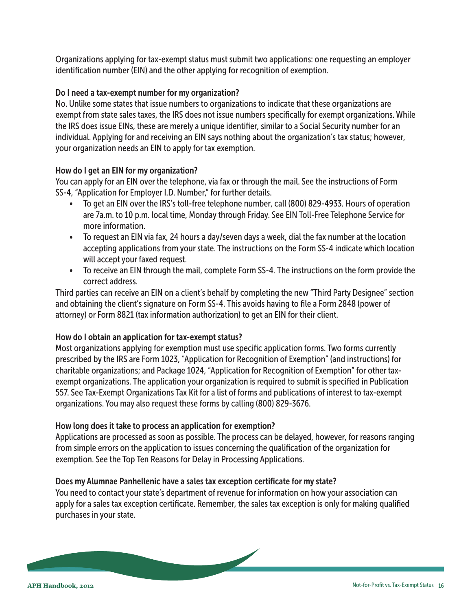Organizations applying for tax-exempt status must submit two applications: one requesting an employer identification number (EIN) and the other applying for recognition of exemption.

#### Do I need a tax-exempt number for my organization?

No. Unlike some states that issue numbers to organizations to indicate that these organizations are exempt from state sales taxes, the IRS does not issue numbers specifically for exempt organizations. While the IRS does issue EINs, these are merely a unique identifier, similar to a Social Security number for an individual. Applying for and receiving an EIN says nothing about the organization's tax status; however, your organization needs an EIN to apply for tax exemption.

#### How do I get an EIN for my organization?

You can apply for an EIN over the telephone, via fax or through the mail. See the instructions of Form SS-4, "Application for Employer I.D. Number," for further details.

- To get an EIN over the IRS's toll-free telephone number, call (800) 829-4933. Hours of operation are 7a.m. to 10 p.m. local time, Monday through Friday. See EIN Toll-Free Telephone Service for more information.
- To request an EIN via fax, 24 hours a day/seven days a week, dial the fax number at the location accepting applications from your state. The instructions on the Form SS-4 indicate which location will accept your faxed request.
- To receive an EIN through the mail, complete Form SS-4. The instructions on the form provide the correct address.

Third parties can receive an EIN on a client's behalf by completing the new "Third Party Designee" section and obtaining the client's signature on Form SS-4. This avoids having to file a Form 2848 (power of attorney) or Form 8821 (tax information authorization) to get an EIN for their client.

#### How do I obtain an application for tax-exempt status?

Most organizations applying for exemption must use specific application forms. Two forms currently prescribed by the IRS are Form 1023, "Application for Recognition of Exemption" (and instructions) for charitable organizations; and Package 1024, "Application for Recognition of Exemption" for other taxexempt organizations. The application your organization is required to submit is specified in Publication 557. See Tax-Exempt Organizations Tax Kit for a list of forms and publications of interest to tax-exempt organizations. You may also request these forms by calling (800) 829-3676.

#### How long does it take to process an application for exemption?

Applications are processed as soon as possible. The process can be delayed, however, for reasons ranging from simple errors on the application to issues concerning the qualification of the organization for exemption. See the Top Ten Reasons for Delay in Processing Applications.

#### Does my Alumnae Panhellenic have a sales tax exception certificate for my state?

You need to contact your state's department of revenue for information on how your association can apply for a sales tax exception certificate. Remember, the sales tax exception is only for making qualified purchases in your state.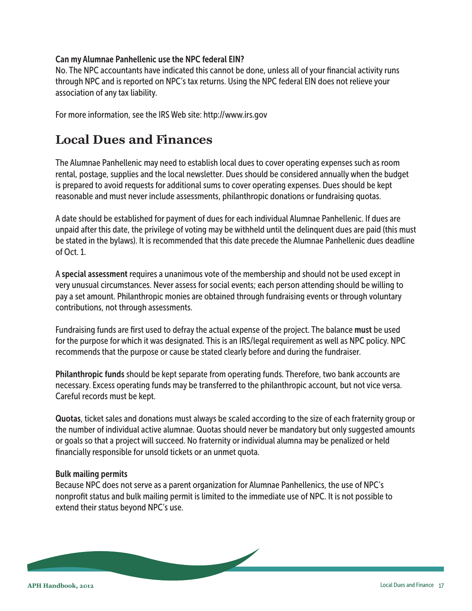#### <span id="page-16-0"></span>Can my Alumnae Panhellenic use the NPC federal EIN?

No. The NPC accountants have indicated this cannot be done, unless all of your financial activity runs through NPC and is reported on NPC's tax returns. Using the NPC federal EIN does not relieve your association of any tax liability.

For more information, see the IRS Web site: http://www.irs.gov

## **Local Dues and Finances**

The Alumnae Panhellenic may need to establish local dues to cover operating expenses such as room rental, postage, supplies and the local newsletter. Dues should be considered annually when the budget is prepared to avoid requests for additional sums to cover operating expenses. Dues should be kept reasonable and must never include assessments, philanthropic donations or fundraising quotas.

A date should be established for payment of dues for each individual Alumnae Panhellenic. If dues are unpaid after this date, the privilege of voting may be withheld until the delinquent dues are paid (this must be stated in the bylaws). It is recommended that this date precede the Alumnae Panhellenic dues deadline of Oct. 1.

A special assessment requires a unanimous vote of the membership and should not be used except in very unusual circumstances. Never assess for social events; each person attending should be willing to pay a set amount. Philanthropic monies are obtained through fundraising events or through voluntary contributions, not through assessments.

Fundraising funds are first used to defray the actual expense of the project. The balance must be used for the purpose for which it was designated. This is an IRS/legal requirement as well as NPC policy. NPC recommends that the purpose or cause be stated clearly before and during the fundraiser.

Philanthropic funds should be kept separate from operating funds. Therefore, two bank accounts are necessary. Excess operating funds may be transferred to the philanthropic account, but not vice versa. Careful records must be kept.

Quotas, ticket sales and donations must always be scaled according to the size of each fraternity group or the number of individual active alumnae. Quotas should never be mandatory but only suggested amounts or goals so that a project will succeed. No fraternity or individual alumna may be penalized or held financially responsible for unsold tickets or an unmet quota.

#### Bulk mailing permits

Because NPC does not serve as a parent organization for Alumnae Panhellenics, the use of NPC's nonprofit status and bulk mailing permit is limited to the immediate use of NPC. It is not possible to extend their status beyond NPC's use.

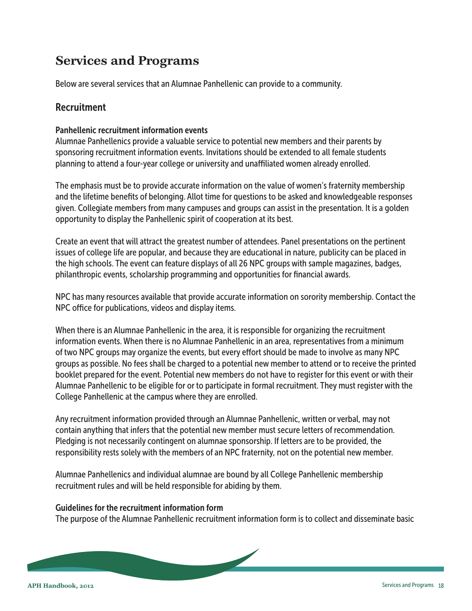# <span id="page-17-0"></span>**Services and Programs**

Below are several services that an Alumnae Panhellenic can provide to a community.

## Recruitment

#### Panhellenic recruitment information events

Alumnae Panhellenics provide a valuable service to potential new members and their parents by sponsoring recruitment information events. Invitations should be extended to all female students planning to attend a four-year college or university and unaffiliated women already enrolled.

The emphasis must be to provide accurate information on the value of women's fraternity membership and the lifetime benefits of belonging. Allot time for questions to be asked and knowledgeable responses given. Collegiate members from many campuses and groups can assist in the presentation. It is a golden opportunity to display the Panhellenic spirit of cooperation at its best.

Create an event that will attract the greatest number of attendees. Panel presentations on the pertinent issues of college life are popular, and because they are educational in nature, publicity can be placed in the high schools. The event can feature displays of all 26 NPC groups with sample magazines, badges, philanthropic events, scholarship programming and opportunities for financial awards.

NPC has many resources available that provide accurate information on sorority membership. Contact the NPC office for publications, videos and display items.

When there is an Alumnae Panhellenic in the area, it is responsible for organizing the recruitment information events. When there is no Alumnae Panhellenic in an area, representatives from a minimum of two NPC groups may organize the events, but every effort should be made to involve as many NPC groups as possible. No fees shall be charged to a potential new member to attend or to receive the printed booklet prepared for the event. Potential new members do not have to register for this event or with their Alumnae Panhellenic to be eligible for or to participate in formal recruitment. They must register with the College Panhellenic at the campus where they are enrolled.

Any recruitment information provided through an Alumnae Panhellenic, written or verbal, may not contain anything that infers that the potential new member must secure letters of recommendation. Pledging is not necessarily contingent on alumnae sponsorship. If letters are to be provided, the responsibility rests solely with the members of an NPC fraternity, not on the potential new member.

Alumnae Panhellenics and individual alumnae are bound by all College Panhellenic membership recruitment rules and will be held responsible for abiding by them.

#### Guidelines for the recruitment information form

The purpose of the Alumnae Panhellenic recruitment information form is to collect and disseminate basic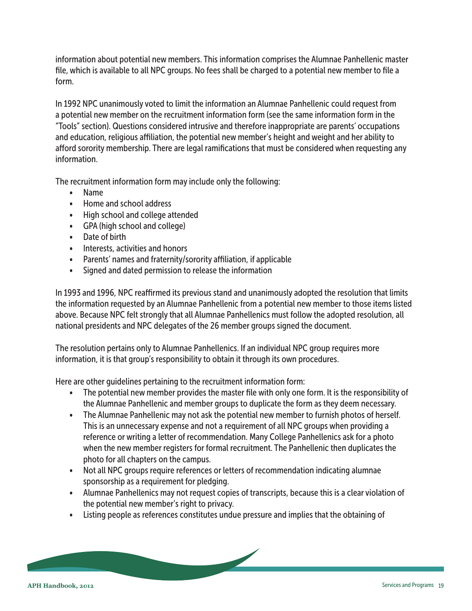information about potential new members. This information comprises the Alumnae Panhellenic master file, which is available to all NPC groups. No fees shall be charged to a potential new member to file a form.

In 1992 NPC unanimously voted to limit the information an Alumnae Panhellenic could request from a potential new member on the recruitment information form (see the same information form in the "Tools" section). Questions considered intrusive and therefore inappropriate are parents' occupations and education, religious affiliation, the potential new member's height and weight and her ability to afford sorority membership. There are legal ramifications that must be considered when requesting any information.

The recruitment information form may include only the following:

- Name
- Home and school address
- High school and college attended
- GPA (high school and college)
- Date of birth
- Interests, activities and honors
- Parents' names and fraternity/sorority affiliation, if applicable
- Signed and dated permission to release the information

In 1993 and 1996, NPC reaffirmed its previous stand and unanimously adopted the resolution that limits the information requested by an Alumnae Panhellenic from a potential new member to those items listed above. Because NPC felt strongly that all Alumnae Panhellenics must follow the adopted resolution, all national presidents and NPC delegates of the 26 member groups signed the document.

The resolution pertains only to Alumnae Panhellenics. If an individual NPC group requires more information, it is that group's responsibility to obtain it through its own procedures.

Here are other guidelines pertaining to the recruitment information form:

- The potential new member provides the master file with only one form. It is the responsibility of the Alumnae Panhellenic and member groups to duplicate the form as they deem necessary.
- The Alumnae Panhellenic may not ask the potential new member to furnish photos of herself. This is an unnecessary expense and not a requirement of all NPC groups when providing a reference or writing a letter of recommendation. Many College Panhellenics ask for a photo when the new member registers for formal recruitment. The Panhellenic then duplicates the photo for all chapters on the campus.
- Not all NPC groups require references or letters of recommendation indicating alumnae sponsorship as a requirement for pledging.
- Alumnae Panhellenics may not request copies of transcripts, because this is a clear violation of the potential new member's right to privacy.
- Listing people as references constitutes undue pressure and implies that the obtaining of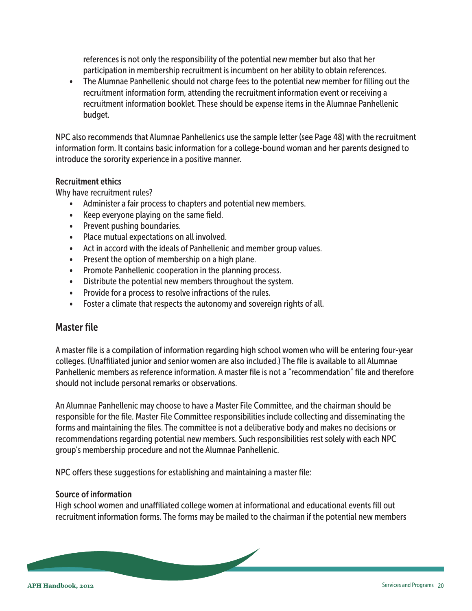<span id="page-19-0"></span> references is not only the responsibility of the potential new member but also that her participation in membership recruitment is incumbent on her ability to obtain references.

• The Alumnae Panhellenic should not charge fees to the potential new member for filling out the recruitment information form, attending the recruitment information event or receiving a recruitment information booklet. These should be expense items in the Alumnae Panhellenic budget.

NPC also recommends that Alumnae Panhellenics use the sample letter (see Page 48) with the recruitment information form. It contains basic information for a college-bound woman and her parents designed to introduce the sorority experience in a positive manner.

#### Recruitment ethics

Why have recruitment rules?

- Administer a fair process to chapters and potential new members.
- Keep everyone playing on the same field.
- Prevent pushing boundaries.
- Place mutual expectations on all involved.
- Act in accord with the ideals of Panhellenic and member group values.
- Present the option of membership on a high plane.
- Promote Panhellenic cooperation in the planning process.
- Distribute the potential new members throughout the system.
- Provide for a process to resolve infractions of the rules.
- Foster a climate that respects the autonomy and sovereign rights of all.

## Master file

A master file is a compilation of information regarding high school women who will be entering four-year colleges. (Unaffiliated junior and senior women are also included.) The file is available to all Alumnae Panhellenic members as reference information. A master file is not a "recommendation" file and therefore should not include personal remarks or observations.

An Alumnae Panhellenic may choose to have a Master File Committee, and the chairman should be responsible for the file. Master File Committee responsibilities include collecting and disseminating the forms and maintaining the files. The committee is not a deliberative body and makes no decisions or recommendations regarding potential new members. Such responsibilities rest solely with each NPC group's membership procedure and not the Alumnae Panhellenic.

NPC offers these suggestions for establishing and maintaining a master file:

#### Source of information

High school women and unaffiliated college women at informational and educational events fill out recruitment information forms. The forms may be mailed to the chairman if the potential new members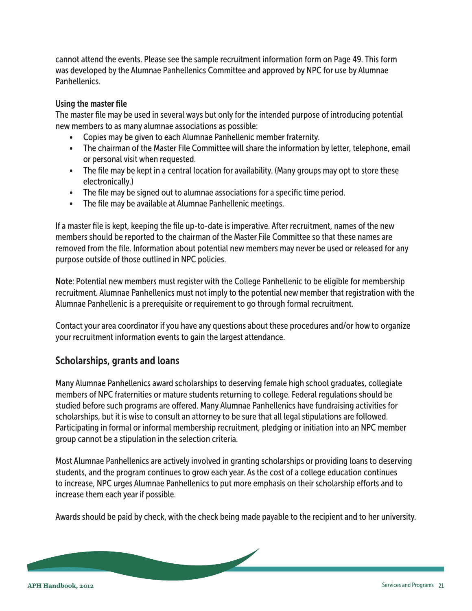<span id="page-20-0"></span>cannot attend the events. Please see the sample recruitment information form on Page 49. This form was developed by the Alumnae Panhellenics Committee and approved by NPC for use by Alumnae Panhellenics.

#### Using the master file

The master file may be used in several ways but only for the intended purpose of introducing potential new members to as many alumnae associations as possible:

- Copies may be given to each Alumnae Panhellenic member fraternity.
- The chairman of the Master File Committee will share the information by letter, telephone, email or personal visit when requested.
- The file may be kept in a central location for availability. (Many groups may opt to store these electronically.)
- The file may be signed out to alumnae associations for a specific time period.
- The file may be available at Alumnae Panhellenic meetings.

If a master file is kept, keeping the file up-to-date is imperative. After recruitment, names of the new members should be reported to the chairman of the Master File Committee so that these names are removed from the file. Information about potential new members may never be used or released for any purpose outside of those outlined in NPC policies.

Note: Potential new members must register with the College Panhellenic to be eligible for membership recruitment. Alumnae Panhellenics must not imply to the potential new member that registration with the Alumnae Panhellenic is a prerequisite or requirement to go through formal recruitment.

Contact your area coordinator if you have any questions about these procedures and/or how to organize your recruitment information events to gain the largest attendance.

## Scholarships, grants and loans

Many Alumnae Panhellenics award scholarships to deserving female high school graduates, collegiate members of NPC fraternities or mature students returning to college. Federal regulations should be studied before such programs are offered. Many Alumnae Panhellenics have fundraising activities for scholarships, but it is wise to consult an attorney to be sure that all legal stipulations are followed. Participating in formal or informal membership recruitment, pledging or initiation into an NPC member group cannot be a stipulation in the selection criteria.

Most Alumnae Panhellenics are actively involved in granting scholarships or providing loans to deserving students, and the program continues to grow each year. As the cost of a college education continues to increase, NPC urges Alumnae Panhellenics to put more emphasis on their scholarship efforts and to increase them each year if possible.

Awards should be paid by check, with the check being made payable to the recipient and to her university.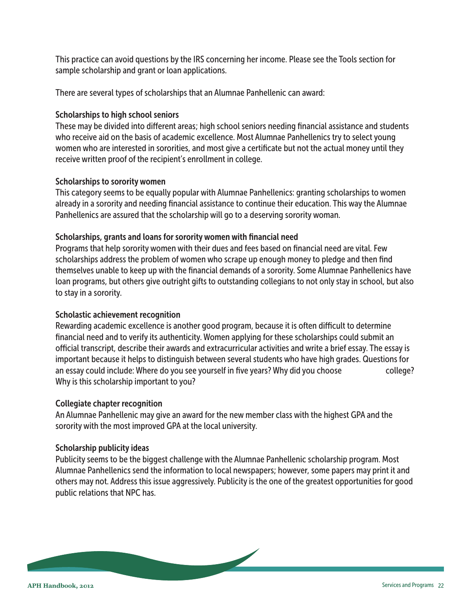This practice can avoid questions by the IRS concerning her income. Please see the Tools section for sample scholarship and grant or loan applications.

There are several types of scholarships that an Alumnae Panhellenic can award:

#### Scholarships to high school seniors

These may be divided into different areas; high school seniors needing financial assistance and students who receive aid on the basis of academic excellence. Most Alumnae Panhellenics try to select young women who are interested in sororities, and most give a certificate but not the actual money until they receive written proof of the recipient's enrollment in college.

#### Scholarships to sorority women

This category seems to be equally popular with Alumnae Panhellenics: granting scholarships to women already in a sorority and needing financial assistance to continue their education. This way the Alumnae Panhellenics are assured that the scholarship will go to a deserving sorority woman.

#### Scholarships, grants and loans for sorority women with financial need

Programs that help sorority women with their dues and fees based on financial need are vital. Few scholarships address the problem of women who scrape up enough money to pledge and then find themselves unable to keep up with the financial demands of a sorority. Some Alumnae Panhellenics have loan programs, but others give outright gifts to outstanding collegians to not only stay in school, but also to stay in a sorority.

## Scholastic achievement recognition

Rewarding academic excellence is another good program, because it is often difficult to determine financial need and to verify its authenticity. Women applying for these scholarships could submit an official transcript, describe their awards and extracurricular activities and write a brief essay. The essay is important because it helps to distinguish between several students who have high grades. Questions for an essay could include: Where do you see yourself in five years? Why did you choose college? Why is this scholarship important to you?

#### Collegiate chapter recognition

An Alumnae Panhellenic may give an award for the new member class with the highest GPA and the sorority with the most improved GPA at the local university.

#### Scholarship publicity ideas

Publicity seems to be the biggest challenge with the Alumnae Panhellenic scholarship program. Most Alumnae Panhellenics send the information to local newspapers; however, some papers may print it and others may not. Address this issue aggressively. Publicity is the one of the greatest opportunities for good public relations that NPC has.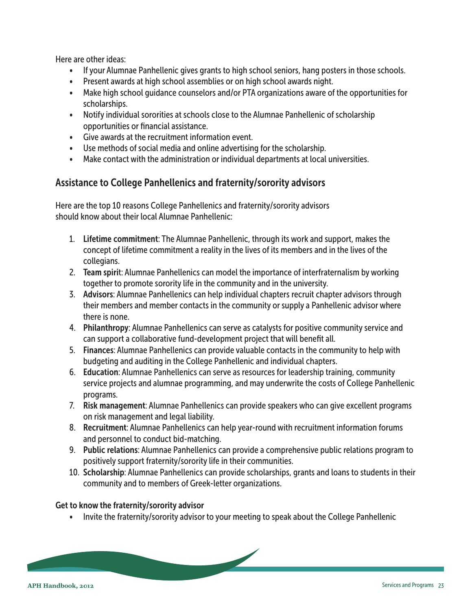<span id="page-22-0"></span>Here are other ideas:

- If your Alumnae Panhellenic gives grants to high school seniors, hang posters in those schools.
- Present awards at high school assemblies or on high school awards night.
- Make high school guidance counselors and/or PTA organizations aware of the opportunities for scholarships.
- Notify individual sororities at schools close to the Alumnae Panhellenic of scholarship opportunities or financial assistance.
- Give awards at the recruitment information event.
- Use methods of social media and online advertising for the scholarship.
- Make contact with the administration or individual departments at local universities.

## Assistance to College Panhellenics and fraternity/sorority advisors

Here are the top 10 reasons College Panhellenics and fraternity/sorority advisors should know about their local Alumnae Panhellenic:

- 1. Lifetime commitment: The Alumnae Panhellenic, through its work and support, makes the concept of lifetime commitment a reality in the lives of its members and in the lives of the collegians.
- 2. Team spirit: Alumnae Panhellenics can model the importance of interfraternalism by working together to promote sorority life in the community and in the university.
- 3. Advisors: Alumnae Panhellenics can help individual chapters recruit chapter advisors through their members and member contacts in the community or supply a Panhellenic advisor where there is none.
- 4. Philanthropy: Alumnae Panhellenics can serve as catalysts for positive community service and can support a collaborative fund-development project that will benefit all.
- 5. Finances: Alumnae Panhellenics can provide valuable contacts in the community to help with budgeting and auditing in the College Panhellenic and individual chapters.
- 6. Education: Alumnae Panhellenics can serve as resources for leadership training, community service projects and alumnae programming, and may underwrite the costs of College Panhellenic programs.
- 7. Risk management: Alumnae Panhellenics can provide speakers who can give excellent programs on risk management and legal liability.
- 8. Recruitment: Alumnae Panhellenics can help year-round with recruitment information forums and personnel to conduct bid-matching.
- 9. Public relations: Alumnae Panhellenics can provide a comprehensive public relations program to positively support fraternity/sorority life in their communities.
- 10. Scholarship: Alumnae Panhellenics can provide scholarships, grants and loans to students in their community and to members of Greek-letter organizations.

#### Get to know the fraternity/sorority advisor

• Invite the fraternity/sorority advisor to your meeting to speak about the College Panhellenic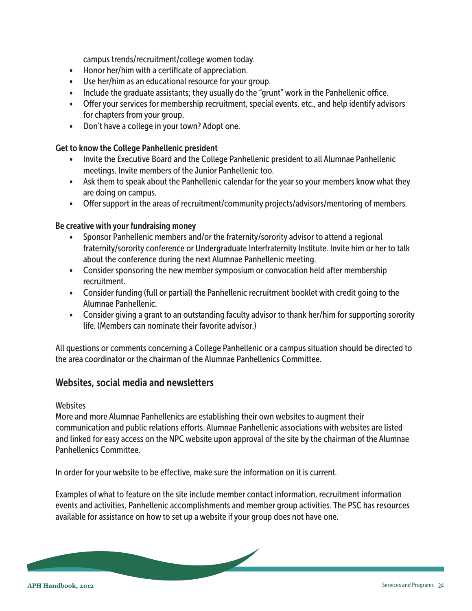campus trends/recruitment/college women today.

- <span id="page-23-0"></span>• Honor her/him with a certificate of appreciation.
- Use her/him as an educational resource for your group.
- Include the graduate assistants; they usually do the "grunt" work in the Panhellenic office.
- Offer your services for membership recruitment, special events, etc., and help identify advisors for chapters from your group.
- Don't have a college in your town? Adopt one.

#### Get to know the College Panhellenic president

- Invite the Executive Board and the College Panhellenic president to all Alumnae Panhellenic meetings. Invite members of the Junior Panhellenic too.
- Ask them to speak about the Panhellenic calendar for the year so your members know what they are doing on campus.
- Offer support in the areas of recruitment/community projects/advisors/mentoring of members.

#### Be creative with your fundraising money

- Sponsor Panhellenic members and/or the fraternity/sorority advisor to attend a regional fraternity/sorority conference or Undergraduate Interfraternity Institute. Invite him or her to talk about the conference during the next Alumnae Panhellenic meeting.
- Consider sponsoring the new member symposium or convocation held after membership recruitment.
- Consider funding (full or partial) the Panhellenic recruitment booklet with credit going to the Alumnae Panhellenic.
- Consider giving a grant to an outstanding faculty advisor to thank her/him for supporting sorority life. (Members can nominate their favorite advisor.)

All questions or comments concerning a College Panhellenic or a campus situation should be directed to the area coordinator or the chairman of the Alumnae Panhellenics Committee.

## Websites, social media and newsletters

#### **Websites**

More and more Alumnae Panhellenics are establishing their own websites to augment their communication and public relations efforts. Alumnae Panhellenic associations with websites are listed and linked for easy access on the NPC website upon approval of the site by the chairman of the Alumnae Panhellenics Committee.

In order for your website to be effective, make sure the information on it is current.

Examples of what to feature on the site include member contact information, recruitment information events and activities, Panhellenic accomplishments and member group activities. The PSC has resources available for assistance on how to set up a website if your group does not have one.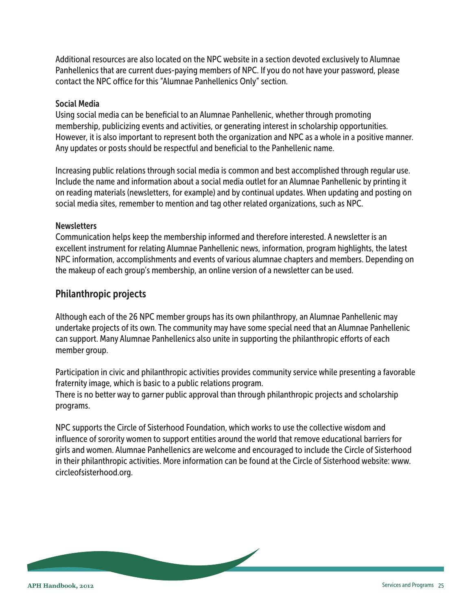<span id="page-24-0"></span>Additional resources are also located on the NPC website in a section devoted exclusively to Alumnae Panhellenics that are current dues-paying members of NPC. If you do not have your password, please contact the NPC office for this "Alumnae Panhellenics Only" section.

#### Social Media

Using social media can be beneficial to an Alumnae Panhellenic, whether through promoting membership, publicizing events and activities, or generating interest in scholarship opportunities. However, it is also important to represent both the organization and NPC as a whole in a positive manner. Any updates or posts should be respectful and beneficial to the Panhellenic name.

Increasing public relations through social media is common and best accomplished through regular use. Include the name and information about a social media outlet for an Alumnae Panhellenic by printing it on reading materials (newsletters, for example) and by continual updates. When updating and posting on social media sites, remember to mention and tag other related organizations, such as NPC.

#### **Newsletters**

Communication helps keep the membership informed and therefore interested. A newsletter is an excellent instrument for relating Alumnae Panhellenic news, information, program highlights, the latest NPC information, accomplishments and events of various alumnae chapters and members. Depending on the makeup of each group's membership, an online version of a newsletter can be used.

## Philanthropic projects

Although each of the 26 NPC member groups has its own philanthropy, an Alumnae Panhellenic may undertake projects of its own. The community may have some special need that an Alumnae Panhellenic can support. Many Alumnae Panhellenics also unite in supporting the philanthropic efforts of each member group.

Participation in civic and philanthropic activities provides community service while presenting a favorable fraternity image, which is basic to a public relations program.

There is no better way to garner public approval than through philanthropic projects and scholarship programs.

NPC supports the Circle of Sisterhood Foundation, which works to use the collective wisdom and influence of sorority women to support entities around the world that remove educational barriers for girls and women. Alumnae Panhellenics are welcome and encouraged to include the Circle of Sisterhood in their philanthropic activities. More information can be found at the Circle of Sisterhood website: www. circleofsisterhood.org.

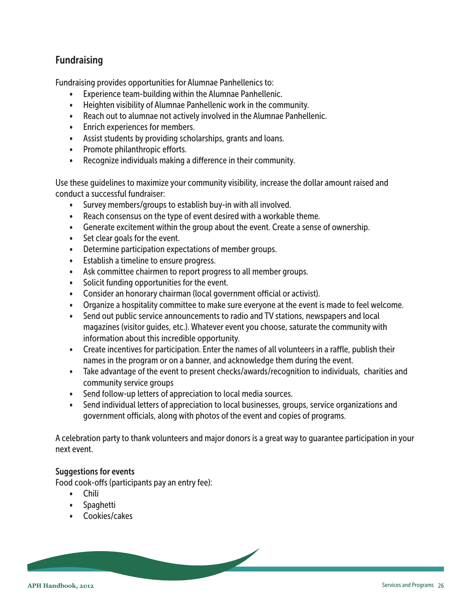## <span id="page-25-0"></span>Fundraising

Fundraising provides opportunities for Alumnae Panhellenics to:

- Experience team-building within the Alumnae Panhellenic.
- Heighten visibility of Alumnae Panhellenic work in the community.
- Reach out to alumnae not actively involved in the Alumnae Panhellenic.
- Enrich experiences for members.
- Assist students by providing scholarships, grants and loans.
- Promote philanthropic efforts.
- Recognize individuals making a difference in their community.

Use these guidelines to maximize your community visibility, increase the dollar amount raised and conduct a successful fundraiser:

- Survey members/groups to establish buy-in with all involved.
- Reach consensus on the type of event desired with a workable theme.
- Generate excitement within the group about the event. Create a sense of ownership.
- Set clear goals for the event.
- Determine participation expectations of member groups.
- Establish a timeline to ensure progress.
- Ask committee chairmen to report progress to all member groups.
- Solicit funding opportunities for the event.
- Consider an honorary chairman (local government official or activist).
- Organize a hospitality committee to make sure everyone at the event is made to feel welcome.
- Send out public service announcements to radio and TV stations, newspapers and local magazines (visitor guides, etc.). Whatever event you choose, saturate the community with information about this incredible opportunity.
- Create incentives for participation. Enter the names of all volunteers in a raffle, publish their names in the program or on a banner, and acknowledge them during the event.
- Take advantage of the event to present checks/awards/recognition to individuals, charities and community service groups
- Send follow-up letters of appreciation to local media sources.
- Send individual letters of appreciation to local businesses, groups, service organizations and government officials, along with photos of the event and copies of programs.

A celebration party to thank volunteers and major donors is a great way to guarantee participation in your next event.

#### Suggestions for events

Food cook-offs (participants pay an entry fee):

- Chili
- Spaghetti
- Cookies/cakes

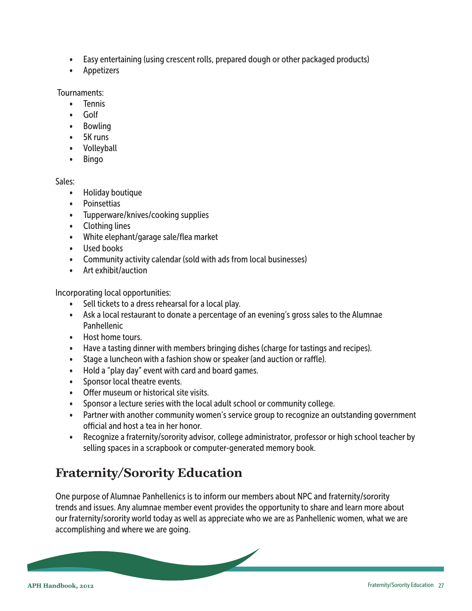- <span id="page-26-0"></span>• Easy entertaining (using crescent rolls, prepared dough or other packaged products)
- Appetizers

Tournaments:

- Tennis
- Golf
- Bowling
- 5K runs
- Volleyball
- Bingo

#### Sales:

- Holiday boutique
- Poinsettias
- Tupperware/knives/cooking supplies
- Clothing lines
- White elephant/garage sale/flea market
- Used books
- Community activity calendar (sold with ads from local businesses)
- Art exhibit/auction

Incorporating local opportunities:

- Sell tickets to a dress rehearsal for a local play.
- Ask a local restaurant to donate a percentage of an evening's gross sales to the Alumnae Panhellenic
- Host home tours.
- Have a tasting dinner with members bringing dishes (charge for tastings and recipes).
- Stage a luncheon with a fashion show or speaker (and auction or raffle).
- Hold a "play day" event with card and board games.
- Sponsor local theatre events.
- Offer museum or historical site visits.
- Sponsor a lecture series with the local adult school or community college.
- Partner with another community women's service group to recognize an outstanding government official and host a tea in her honor.
- Recognize a fraternity/sorority advisor, college administrator, professor or high school teacher by selling spaces in a scrapbook or computer-generated memory book.

# **Fraternity/Sorority Education**

One purpose of Alumnae Panhellenics is to inform our members about NPC and fraternity/sorority trends and issues. Any alumnae member event provides the opportunity to share and learn more about our fraternity/sorority world today as well as appreciate who we are as Panhellenic women, what we are accomplishing and where we are going.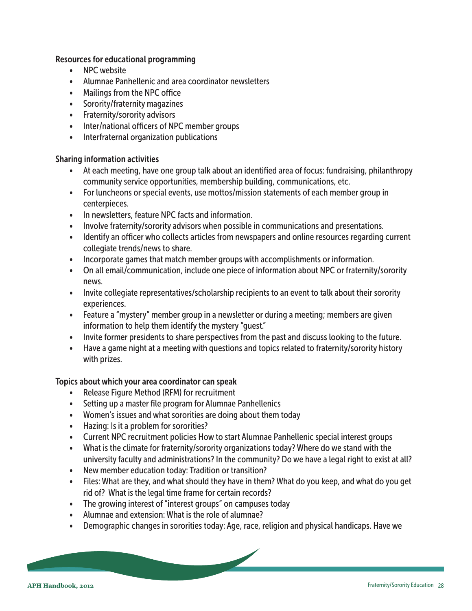#### Resources for educational programming

- NPC website
- Alumnae Panhellenic and area coordinator newsletters
- Mailings from the NPC office
- Sorority/fraternity magazines
- Fraternity/sorority advisors
- Inter/national officers of NPC member groups
- Interfraternal organization publications

#### Sharing information activities

- At each meeting, have one group talk about an identified area of focus: fundraising, philanthropy community service opportunities, membership building, communications, etc.
- For luncheons or special events, use mottos/mission statements of each member group in centerpieces.
- In newsletters, feature NPC facts and information.
- Involve fraternity/sorority advisors when possible in communications and presentations.
- Identify an officer who collects articles from newspapers and online resources regarding current collegiate trends/news to share.
- Incorporate games that match member groups with accomplishments or information.
- On all email/communication, include one piece of information about NPC or fraternity/sorority news.
- Invite collegiate representatives/scholarship recipients to an event to talk about their sorority experiences.
- Feature a "mystery" member group in a newsletter or during a meeting; members are given information to help them identify the mystery "guest."
- Invite former presidents to share perspectives from the past and discuss looking to the future.
- Have a game night at a meeting with questions and topics related to fraternity/sorority history with prizes.

## Topics about which your area coordinator can speak

- Release Figure Method (RFM) for recruitment
- Setting up a master file program for Alumnae Panhellenics
- Women's issues and what sororities are doing about them today
- Hazing: Is it a problem for sororities?
- Current NPC recruitment policies How to start Alumnae Panhellenic special interest groups
- What is the climate for fraternity/sorority organizations today? Where do we stand with the university faculty and administrations? In the community? Do we have a legal right to exist at all?
- New member education today: Tradition or transition?
- Files: What are they, and what should they have in them? What do you keep, and what do you get rid of? What is the legal time frame for certain records?
- The growing interest of "interest groups" on campuses today
- Alumnae and extension: What is the role of alumnae?
- Demographic changes in sororities today: Age, race, religion and physical handicaps. Have we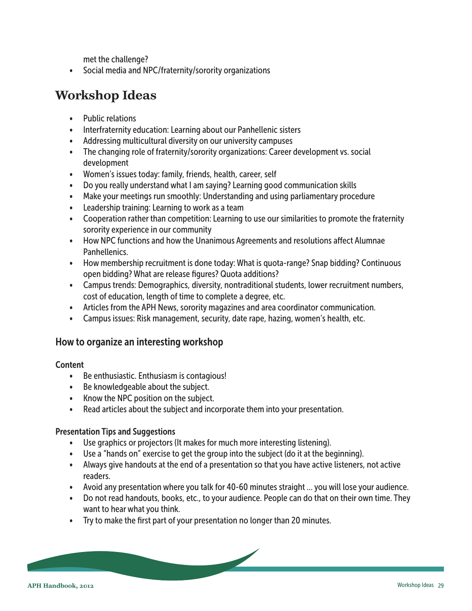met the challenge?

<span id="page-28-0"></span>• Social media and NPC/fraternity/sorority organizations

# **Workshop Ideas**

- Public relations
- Interfraternity education: Learning about our Panhellenic sisters
- Addressing multicultural diversity on our university campuses
- The changing role of fraternity/sorority organizations: Career development vs. social development
- Women's issues today: family, friends, health, career, self
- Do you really understand what I am saying? Learning good communication skills
- Make your meetings run smoothly: Understanding and using parliamentary procedure
- Leadership training: Learning to work as a team
- Cooperation rather than competition: Learning to use our similarities to promote the fraternity sorority experience in our community
- How NPC functions and how the Unanimous Agreements and resolutions affect Alumnae Panhellenics.
- How membership recruitment is done today: What is quota-range? Snap bidding? Continuous open bidding? What are release figures? Quota additions?
- Campus trends: Demographics, diversity, nontraditional students, lower recruitment numbers, cost of education, length of time to complete a degree, etc.
- Articles from the APH News, sorority magazines and area coordinator communication.
- Campus issues: Risk management, security, date rape, hazing, women's health, etc.

## How to organize an interesting workshop

#### **Content**

- Be enthusiastic. Enthusiasm is contagious!
- Be knowledgeable about the subject.
- Know the NPC position on the subject.
- Read articles about the subject and incorporate them into your presentation.

#### Presentation Tips and Suggestions

- Use graphics or projectors (It makes for much more interesting listening).
- Use a "hands on" exercise to get the group into the subject (do it at the beginning).
- Always give handouts at the end of a presentation so that you have active listeners, not active readers.
- Avoid any presentation where you talk for 40-60 minutes straight … you will lose your audience.
- Do not read handouts, books, etc., to your audience. People can do that on their own time. They want to hear what you think.
- Try to make the first part of your presentation no longer than 20 minutes.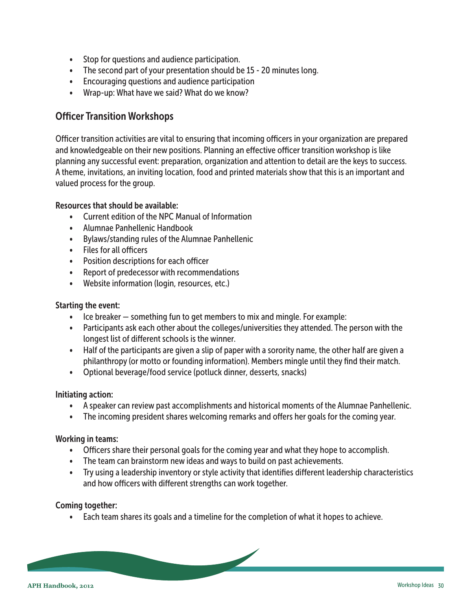- <span id="page-29-0"></span>• Stop for questions and audience participation.
- The second part of your presentation should be 15 20 minutes long.
- Encouraging questions and audience participation
- Wrap-up: What have we said? What do we know?

## Officer Transition Workshops

Officer transition activities are vital to ensuring that incoming officers in your organization are prepared and knowledgeable on their new positions. Planning an effective officer transition workshop is like planning any successful event: preparation, organization and attention to detail are the keys to success. A theme, invitations, an inviting location, food and printed materials show that this is an important and valued process for the group.

#### Resources that should be available:

- Current edition of the NPC Manual of Information
- Alumnae Panhellenic Handbook
- Bylaws/standing rules of the Alumnae Panhellenic
- Files for all officers
- Position descriptions for each officer
- Report of predecessor with recommendations
- Website information (login, resources, etc.)

#### Starting the event:

- Ice breaker something fun to get members to mix and mingle. For example:
- Participants ask each other about the colleges/universities they attended. The person with the longest list of different schools is the winner.
- Half of the participants are given a slip of paper with a sorority name, the other half are given a philanthropy (or motto or founding information). Members mingle until they find their match.
- Optional beverage/food service (potluck dinner, desserts, snacks)

#### Initiating action:

- A speaker can review past accomplishments and historical moments of the Alumnae Panhellenic.
- The incoming president shares welcoming remarks and offers her goals for the coming year.

#### Working in teams:

- Officers share their personal goals for the coming year and what they hope to accomplish.
- The team can brainstorm new ideas and ways to build on past achievements.
- Try using a leadership inventory or style activity that identifies different leadership characteristics and how officers with different strengths can work together.

#### Coming together:

• Each team shares its goals and a timeline for the completion of what it hopes to achieve.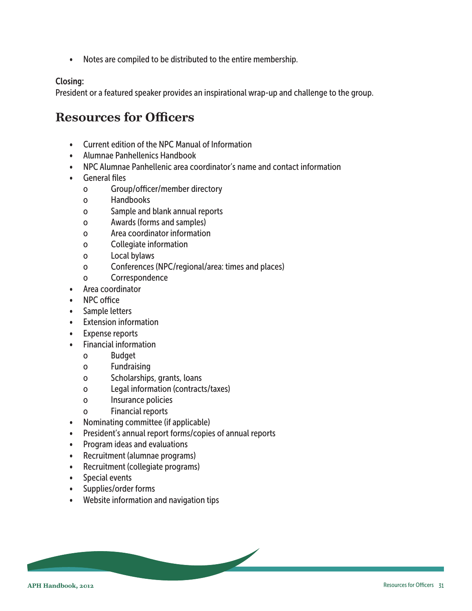<span id="page-30-0"></span>• Notes are compiled to be distributed to the entire membership.

#### Closing:

President or a featured speaker provides an inspirational wrap-up and challenge to the group.

## **Resources for Officers**

- Current edition of the NPC Manual of Information
- Alumnae Panhellenics Handbook
- NPC Alumnae Panhellenic area coordinator's name and contact information
- General files
	- o Group/officer/member directory
	- o Handbooks
	- o Sample and blank annual reports
	- o Awards (forms and samples)
	- o Area coordinator information
	- o Collegiate information
	- o Local bylaws
	- o Conferences (NPC/regional/area: times and places)
	- o Correspondence
- Area coordinator
- NPC office
- Sample letters
- Extension information
- Expense reports
- Financial information
	- o Budget
	- o Fundraising
	- o Scholarships, grants, loans
	- o Legal information (contracts/taxes)
	- o Insurance policies
	- o Financial reports
- Nominating committee (if applicable)
- President's annual report forms/copies of annual reports

 $\overline{\phantom{0}}$ 

- Program ideas and evaluations
- Recruitment (alumnae programs)
- Recruitment (collegiate programs)
- Special events
- Supplies/order forms
- Website information and navigation tips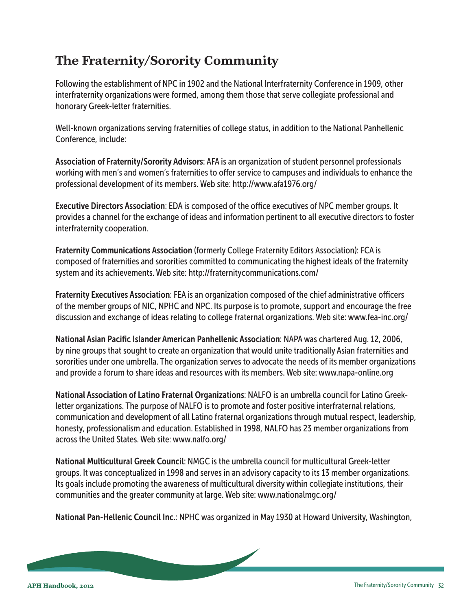# <span id="page-31-0"></span>**The Fraternity/Sorority Community**

Following the establishment of NPC in 1902 and the National Interfraternity Conference in 1909, other interfraternity organizations were formed, among them those that serve collegiate professional and honorary Greek-letter fraternities.

Well-known organizations serving fraternities of college status, in addition to the National Panhellenic Conference, include:

Association of Fraternity/Sorority Advisors: AFA is an organization of student personnel professionals working with men's and women's fraternities to offer service to campuses and individuals to enhance the professional development of its members. Web site: http://www.afa1976.org/

Executive Directors Association: EDA is composed of the office executives of NPC member groups. It provides a channel for the exchange of ideas and information pertinent to all executive directors to foster interfraternity cooperation.

Fraternity Communications Association (formerly College Fraternity Editors Association): FCA is composed of fraternities and sororities committed to communicating the highest ideals of the fraternity system and its achievements. Web site: http://fraternitycommunications.com/

Fraternity Executives Association: FEA is an organization composed of the chief administrative officers of the member groups of NIC, NPHC and NPC. Its purpose is to promote, support and encourage the free discussion and exchange of ideas relating to college fraternal organizations. Web site: www.fea-inc.org/

National Asian Pacific Islander American Panhellenic Association: NAPA was chartered Aug. 12, 2006, by nine groups that sought to create an organization that would unite traditionally Asian fraternities and sororities under one umbrella. The organization serves to advocate the needs of its member organizations and provide a forum to share ideas and resources with its members. Web site: www.napa-online.org

National Association of Latino Fraternal Organizations: NALFO is an umbrella council for Latino Greekletter organizations. The purpose of NALFO is to promote and foster positive interfraternal relations, communication and development of all Latino fraternal organizations through mutual respect, leadership, honesty, professionalism and education. Established in 1998, NALFO has 23 member organizations from across the United States. Web site: www.nalfo.org/

National Multicultural Greek Council: NMGC is the umbrella council for multicultural Greek-letter groups. It was conceptualized in 1998 and serves in an advisory capacity to its 13 member organizations. Its goals include promoting the awareness of multicultural diversity within collegiate institutions, their communities and the greater community at large. Web site: www.nationalmgc.org/

National Pan-Hellenic Council Inc.: NPHC was organized in May 1930 at Howard University, Washington,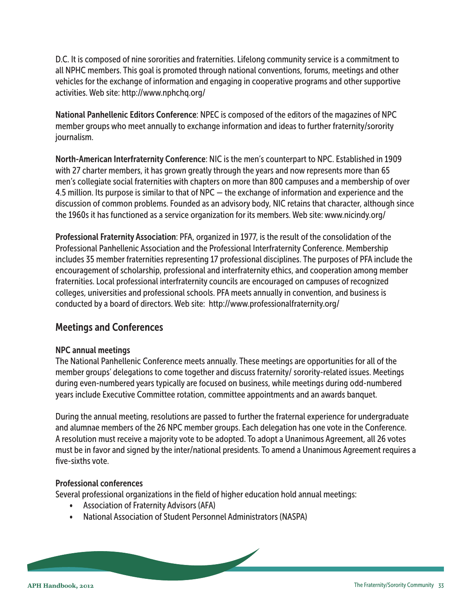<span id="page-32-0"></span>D.C. It is composed of nine sororities and fraternities. Lifelong community service is a commitment to all NPHC members. This goal is promoted through national conventions, forums, meetings and other vehicles for the exchange of information and engaging in cooperative programs and other supportive activities. Web site: http://www.nphchq.org/

National Panhellenic Editors Conference: NPEC is composed of the editors of the magazines of NPC member groups who meet annually to exchange information and ideas to further fraternity/sorority journalism.

North-American Interfraternity Conference: NIC is the men's counterpart to NPC. Established in 1909 with 27 charter members, it has grown greatly through the years and now represents more than 65 men's collegiate social fraternities with chapters on more than 800 campuses and a membership of over 4.5 million. Its purpose is similar to that of NPC — the exchange of information and experience and the discussion of common problems. Founded as an advisory body, NIC retains that character, although since the 1960s it has functioned as a service organization for its members. Web site: www.nicindy.org/

Professional Fraternity Association: PFA, organized in 1977, is the result of the consolidation of the Professional Panhellenic Association and the Professional Interfraternity Conference. Membership includes 35 member fraternities representing 17 professional disciplines. The purposes of PFA include the encouragement of scholarship, professional and interfraternity ethics, and cooperation among member fraternities. Local professional interfraternity councils are encouraged on campuses of recognized colleges, universities and professional schools. PFA meets annually in convention, and business is conducted by a board of directors. Web site: http://www.professionalfraternity.org/

## Meetings and Conferences

#### NPC annual meetings

The National Panhellenic Conference meets annually. These meetings are opportunities for all of the member groups' delegations to come together and discuss fraternity/ sorority-related issues. Meetings during even-numbered years typically are focused on business, while meetings during odd-numbered years include Executive Committee rotation, committee appointments and an awards banquet.

During the annual meeting, resolutions are passed to further the fraternal experience for undergraduate and alumnae members of the 26 NPC member groups. Each delegation has one vote in the Conference. A resolution must receive a majority vote to be adopted. To adopt a Unanimous Agreement, all 26 votes must be in favor and signed by the inter/national presidents. To amend a Unanimous Agreement requires a five-sixths vote.

#### Professional conferences

Several professional organizations in the field of higher education hold annual meetings:

- Association of Fraternity Advisors (AFA)
- National Association of Student Personnel Administrators (NASPA)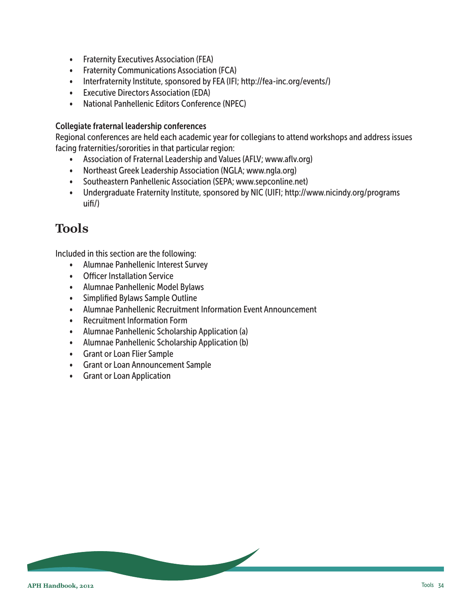- <span id="page-33-0"></span>• Fraternity Executives Association (FEA)
- Fraternity Communications Association (FCA)
- Interfraternity Institute, sponsored by FEA (IFI; http://fea-inc.org/events/)
- Executive Directors Association (EDA)
- National Panhellenic Editors Conference (NPEC)

#### Collegiate fraternal leadership conferences

Regional conferences are held each academic year for collegians to attend workshops and address issues facing fraternities/sororities in that particular region:

- Association of Fraternal Leadership and Values (AFLV; www.aflv.org)
- Northeast Greek Leadership Association (NGLA; www.ngla.org)
- Southeastern Panhellenic Association (SEPA; www.sepconline.net)
- Undergraduate Fraternity Institute, sponsored by NIC (UIFI; http://www.nicindy.org/programs uifi/)

## **Tools**

Included in this section are the following:

- Alumnae Panhellenic Interest Survey
- Officer Installation Service
- Alumnae Panhellenic Model Bylaws
- Simplified Bylaws Sample Outline
- Alumnae Panhellenic Recruitment Information Event Announcement
- Recruitment Information Form
- Alumnae Panhellenic Scholarship Application (a)
- Alumnae Panhellenic Scholarship Application (b)
- Grant or Loan Flier Sample
- Grant or Loan Announcement Sample
- Grant or Loan Application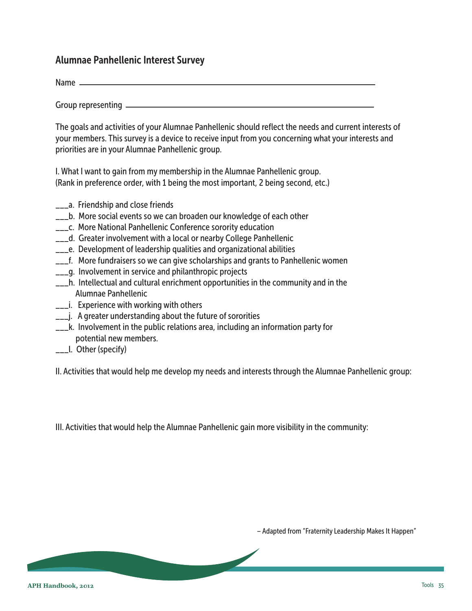## <span id="page-34-0"></span>Alumnae Panhellenic Interest Survey

Name  $\equiv$ 

Group representing

The goals and activities of your Alumnae Panhellenic should reflect the needs and current interests of your members. This survey is a device to receive input from you concerning what your interests and priorities are in your Alumnae Panhellenic group.

I. What I want to gain from my membership in the Alumnae Panhellenic group. (Rank in preference order, with 1 being the most important, 2 being second, etc.)

- \_\_\_a. Friendship and close friends
- \_\_\_b. More social events so we can broaden our knowledge of each other
- **\_\_\_c.** More National Panhellenic Conference sorority education
- \_\_\_d. Greater involvement with a local or nearby College Panhellenic
- \_\_\_e. Development of leadership qualities and organizational abilities
- $\frac{1}{2}$  More fundraisers so we can give scholarships and grants to Panhellenic women
- $\equiv$  q. Involvement in service and philanthropic projects
- \_\_\_h. Intellectual and cultural enrichment opportunities in the community and in the Alumnae Panhellenic
- \_\_\_i. Experience with working with others
- **\_\_\_j.** A greater understanding about the future of sororities
- \_\_\_k. Involvement in the public relations area, including an information party for potential new members.
- \_\_\_l. Other (specify)

II. Activities that would help me develop my needs and interests through the Alumnae Panhellenic group:

III. Activities that would help the Alumnae Panhellenic gain more visibility in the community:

– Adapted from "Fraternity Leadership Makes It Happen"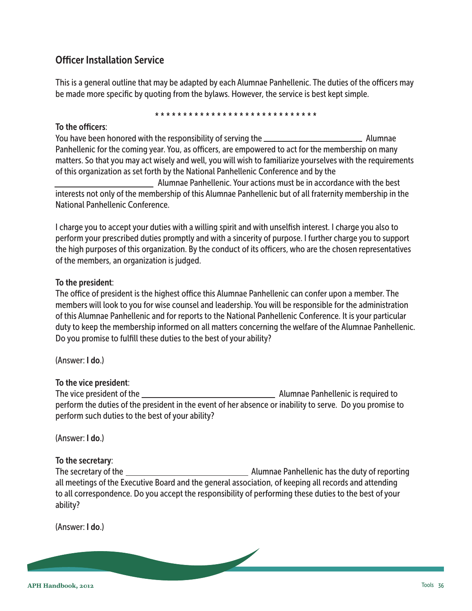## <span id="page-35-0"></span>Officer Installation Service

This is a general outline that may be adapted by each Alumnae Panhellenic. The duties of the officers may be made more specific by quoting from the bylaws. However, the service is best kept simple.

#### \* \* \* \* \* \* \* \* \* \* \* \* \* \* \* \* \* \* \* \* \* \* \* \* \* \* \* \* \*

#### To the officers:

You have been honored with the responsibility of serving the Alumnae Panhellenic for the coming year. You, as officers, are empowered to act for the membership on many matters. So that you may act wisely and well, you will wish to familiarize yourselves with the requirements of this organization as set forth by the National Panhellenic Conference and by the

 Alumnae Panhellenic. Your actions must be in accordance with the best interests not only of the membership of this Alumnae Panhellenic but of all fraternity membership in the National Panhellenic Conference.

I charge you to accept your duties with a willing spirit and with unselfish interest. I charge you also to perform your prescribed duties promptly and with a sincerity of purpose. I further charge you to support the high purposes of this organization. By the conduct of its officers, who are the chosen representatives of the members, an organization is judged.

#### To the president:

The office of president is the highest office this Alumnae Panhellenic can confer upon a member. The members will look to you for wise counsel and leadership. You will be responsible for the administration of this Alumnae Panhellenic and for reports to the National Panhellenic Conference. It is your particular duty to keep the membership informed on all matters concerning the welfare of the Alumnae Panhellenic. Do you promise to fulfill these duties to the best of your ability?

(Answer: I do.)

#### To the vice president:

The vice president of the Alumnae Panhellenic is required to perform the duties of the president in the event of her absence or inability to serve. Do you promise to perform such duties to the best of your ability?

(Answer: I do.)

#### To the secretary:

The secretary of the Alumnae Panhellenic has the duty of reporting all meetings of the Executive Board and the general association, of keeping all records and attending to all correspondence. Do you accept the responsibility of performing these duties to the best of your ability?

(Answer: I do.)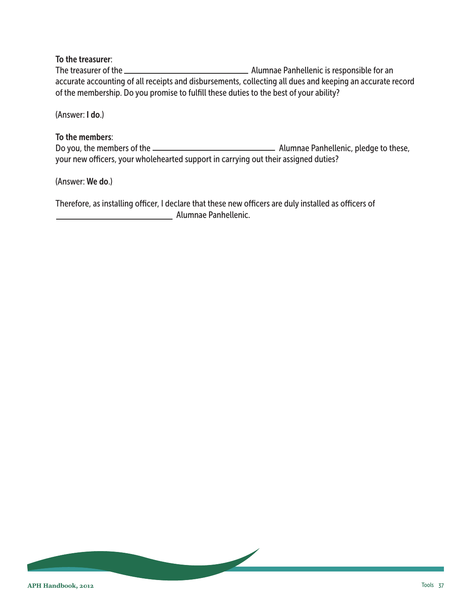#### To the treasurer:

The treasurer of the Alumnae Panhellenic is responsible for an accurate accounting of all receipts and disbursements, collecting all dues and keeping an accurate record of the membership. Do you promise to fulfill these duties to the best of your ability?

(Answer: I do.)

#### To the members:

Do you, the members of the Alumnae Panhellenic, pledge to these, your new officers, your wholehearted support in carrying out their assigned duties?

(Answer: We do.)

Therefore, as installing officer, I declare that these new officers are duly installed as officers of **Alumnae Panhellenic.** Alumnae Panhellenic.

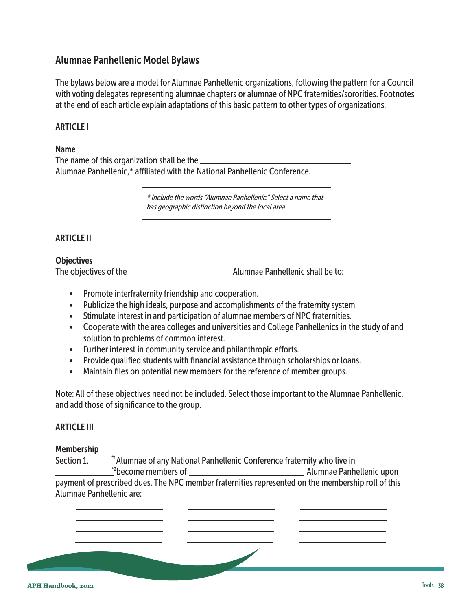## <span id="page-37-0"></span>Alumnae Panhellenic Model Bylaws

The bylaws below are a model for Alumnae Panhellenic organizations, following the pattern for a Council with voting delegates representing alumnae chapters or alumnae of NPC fraternities/sororities. Footnotes at the end of each article explain adaptations of this basic pattern to other types of organizations.

#### ARTICLE I

#### Name

The name of this organization shall be the Alumnae Panhellenic,\* affiliated with the National Panhellenic Conference.

> \* Include the words "Alumnae Panhellenic." Select a name that has geographic distinction beyond the local area.

#### ARTICLE II

#### **Objectives**

The objectives of the  $\frac{1}{1}$  alumnae Panhellenic shall be to:

- Promote interfraternity friendship and cooperation.
- Publicize the high ideals, purpose and accomplishments of the fraternity system.
- Stimulate interest in and participation of alumnae members of NPC fraternities.
- Cooperate with the area colleges and universities and College Panhellenics in the study of and solution to problems of common interest.
- Further interest in community service and philanthropic efforts.
- Provide qualified students with financial assistance through scholarships or loans.
- Maintain files on potential new members for the reference of member groups.

Note: All of these objectives need not be included. Select those important to the Alumnae Panhellenic, and add those of significance to the group.

#### ARTICLE III

#### Membership

Section 1. The Mumnae of any National Panhellenic Conference fraternity who live in become members of Alumnae Panhellenic upon \*2 payment of prescribed dues. The NPC member fraternities represented on the membership roll of this Alumnae Panhellenic are: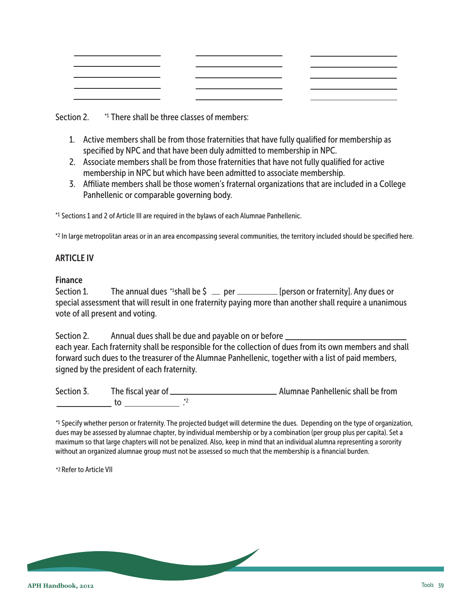|                                     | <u>and the state of the state of the state of the state of the state of the state of the state of the state of the state of the state of the state of the state of the state of the state of the state of the state of the state</u>                                                                                                                                                                                | $ -$ |
|-------------------------------------|---------------------------------------------------------------------------------------------------------------------------------------------------------------------------------------------------------------------------------------------------------------------------------------------------------------------------------------------------------------------------------------------------------------------|------|
|                                     | $\overline{\phantom{a}}$ and $\overline{\phantom{a}}$ and $\overline{\phantom{a}}$ and $\overline{\phantom{a}}$ and $\overline{\phantom{a}}$ and $\overline{\phantom{a}}$ and $\overline{\phantom{a}}$ and $\overline{\phantom{a}}$ and $\overline{\phantom{a}}$ and $\overline{\phantom{a}}$ and $\overline{\phantom{a}}$ and $\overline{\phantom{a}}$ and $\overline{\phantom{a}}$ and $\overline{\phantom{a}}$ a |      |
|                                     | $\overline{\phantom{a}}$ and $\overline{\phantom{a}}$ and $\overline{\phantom{a}}$ and $\overline{\phantom{a}}$ and $\overline{\phantom{a}}$ and $\overline{\phantom{a}}$ and $\overline{\phantom{a}}$ and $\overline{\phantom{a}}$ and $\overline{\phantom{a}}$ and $\overline{\phantom{a}}$ and $\overline{\phantom{a}}$ and $\overline{\phantom{a}}$ and $\overline{\phantom{a}}$ and $\overline{\phantom{a}}$ a |      |
| the contract of the contract of the |                                                                                                                                                                                                                                                                                                                                                                                                                     |      |

Section 2. <sup>\*1</sup> There shall be three classes of members:

- 1. Active members shall be from those fraternities that have fully qualified for membership as specified by NPC and that have been duly admitted to membership in NPC.
- 2. Associate members shall be from those fraternities that have not fully qualified for active membership in NPC but which have been admitted to associate membership.
- 3. Affiliate members shall be those women's fraternal organizations that are included in a College Panhellenic or comparable governing body.

<sup>\*1</sup> Sections 1 and 2 of Article III are required in the bylaws of each Alumnae Panhellenic.

\*2 In large metropolitan areas or in an area encompassing several communities, the territory included should be specified here.

## ARTICLE IV

## Finance

Section 1. The annual dues \*1shall be  $\zeta =$  per \_\_\_\_\_\_\_\_\_\_\_ [person or fraternity]. Any dues or special assessment that will result in one fraternity paying more than another shall require a unanimous vote of all present and voting.

Section 2. Annual dues shall be due and payable on or before each year. Each fraternity shall be responsible for the collection of dues from its own members and shall forward such dues to the treasurer of the Alumnae Panhellenic, together with a list of paid members, signed by the president of each fraternity.

Section 3. The fiscal year of Alumnae Panhellenic shall be from to . \*2

\*1 Specify whether person or fraternity. The projected budget will determine the dues. Depending on the type of organization, dues may be assessed by alumnae chapter, by individual membership or by a combination (per group plus per capita). Set a maximum so that large chapters will not be penalized. Also, keep in mind that an individual alumna representing a sorority without an organized alumnae group must not be assessed so much that the membership is a financial burden.

\*2 Refer to Article VII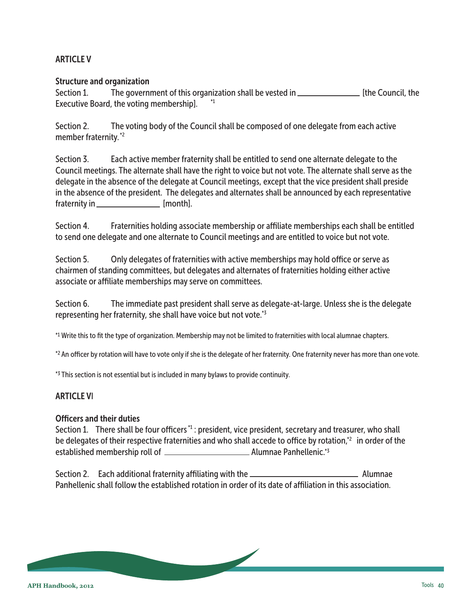## ARTICLE V

#### Structure and organization

Section 1. The government of this organization shall be vested in \_\_\_\_\_\_\_\_\_\_\_\_\_\_\_\_\_\_\_\_ [the Council, the Executive Board, the voting membership]. \*1

Section 2. The voting body of the Council shall be composed of one delegate from each active member fraternity.<sup>\*2</sup>

Section 3. Each active member fraternity shall be entitled to send one alternate delegate to the Council meetings. The alternate shall have the right to voice but not vote. The alternate shall serve as the delegate in the absence of the delegate at Council meetings, except that the vice president shall preside in the absence of the president. The delegates and alternates shall be announced by each representative fraternity in \_\_\_\_\_\_\_\_\_\_\_\_\_\_\_\_\_\_\_ [month].

Section 4. Fraternities holding associate membership or affiliate memberships each shall be entitled to send one delegate and one alternate to Council meetings and are entitled to voice but not vote.

Section 5. Only delegates of fraternities with active memberships may hold office or serve as chairmen of standing committees, but delegates and alternates of fraternities holding either active associate or affiliate memberships may serve on committees.

Section 6. The immediate past president shall serve as delegate-at-large. Unless she is the delegate representing her fraternity, she shall have voice but not vote.<sup>\*3</sup>

Write this to fit the type of organization. Membership may not be limited to fraternities with local alumnae chapters. \*1

 $*$ 2 An officer by rotation will have to vote only if she is the delegate of her fraternity. One fraternity never has more than one vote.

<sup>\*3</sup> This section is not essential but is included in many bylaws to provide continuity.

## ARTICLE VI

#### Officers and their duties

Section 1. There shall be four officers<sup>\*1</sup>: president, vice president, secretary and treasurer, who shall be delegates of their respective fraternities and who shall accede to office by rotation, $^2$  in order of the established membership roll of Alumnae Panhellenic. \*3

Section 2. Each additional fraternity affiliating with the Alumnae Alumnae Panhellenic shall follow the established rotation in order of its date of affiliation in this association.

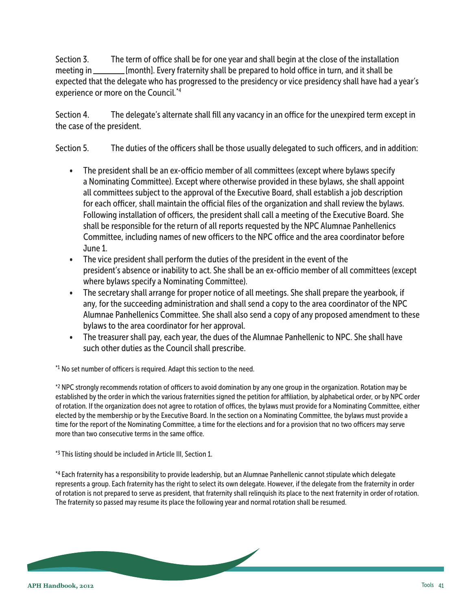Section 3. The term of office shall be for one year and shall begin at the close of the installation meeting in \_\_\_\_\_\_\_\_\_[month]. Every fraternity shall be prepared to hold office in turn, and it shall be [month]. Every fraternity shall be prepared to hold office in turn, and it shall be expected that the delegate who has progressed to the presidency or vice presidency shall have had a year's experience or more on the Council.<sup>\*4</sup>

Section 4. The delegate's alternate shall fill any vacancy in an office for the unexpired term except in the case of the president.

Section 5. The duties of the officers shall be those usually delegated to such officers, and in addition:

- The president shall be an ex-officio member of all committees (except where bylaws specify a Nominating Committee). Except where otherwise provided in these bylaws, she shall appoint all committees subject to the approval of the Executive Board, shall establish a job description for each officer, shall maintain the official files of the organization and shall review the bylaws. Following installation of officers, the president shall call a meeting of the Executive Board. She shall be responsible for the return of all reports requested by the NPC Alumnae Panhellenics Committee, including names of new officers to the NPC office and the area coordinator before June 1.
- The vice president shall perform the duties of the president in the event of the president's absence or inability to act. She shall be an ex-officio member of all committees (except where bylaws specify a Nominating Committee).
- The secretary shall arrange for proper notice of all meetings. She shall prepare the yearbook, if any, for the succeeding administration and shall send a copy to the area coordinator of the NPC Alumnae Panhellenics Committee. She shall also send a copy of any proposed amendment to these bylaws to the area coordinator for her approval.
- The treasurer shall pay, each year, the dues of the Alumnae Panhellenic to NPC. She shall have such other duties as the Council shall prescribe.

 $*1$  No set number of officers is required. Adapt this section to the need.

\*2 NPC strongly recommends rotation of officers to avoid domination by any one group in the organization. Rotation may be established by the order in which the various fraternities signed the petition for affiliation, by alphabetical order, or by NPC order of rotation. If the organization does not agree to rotation of offices, the bylaws must provide for a Nominating Committee, either elected by the membership or by the Executive Board. In the section on a Nominating Committee, the bylaws must provide a time for the report of the Nominating Committee, a time for the elections and for a provision that no two officers may serve more than two consecutive terms in the same office.

<sup>\*3</sup> This listing should be included in Article III, Section 1.

\*4 Each fraternity has a responsibility to provide leadership, but an Alumnae Panhellenic cannot stipulate which delegate represents a group. Each fraternity has the right to select its own delegate. However, if the delegate from the fraternity in order of rotation is not prepared to serve as president, that fraternity shall relinquish its place to the next fraternity in order of rotation. The fraternity so passed may resume its place the following year and normal rotation shall be resumed.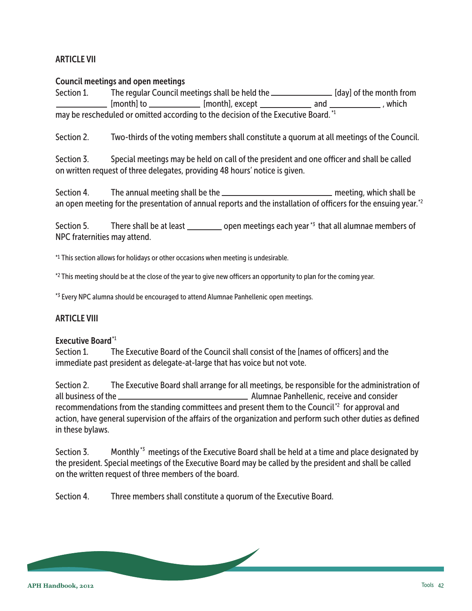## ARTICLE VII

#### Council meetings and open meetings

Section 1. The regular Council meetings shall be held the **[day]** of the month from  $\mathsf{m}$  [month] to  $\mathsf{m}$  [month], except  $\mathsf{m}$  and  $\mathsf{m}$  , which may be rescheduled or omitted according to the decision of the Executive Board.<sup>\*1</sup>

Section 2. Two-thirds of the voting members shall constitute a quorum at all meetings of the Council.

Section 3. Special meetings may be held on call of the president and one officer and shall be called on written request of three delegates, providing 48 hours' notice is given.

Section 4. The annual meeting shall be the **meeting** meeting, which shall be an open meeting for the presentation of annual reports and the installation of officers for the ensuing year. $^{*2}$ 

Section 5. There shall be at least  $\_\_\_\_$  open meetings each year  $*$ <sup>3</sup> that all alumnae members of NPC fraternities may attend.

This section allows for holidays or other occasions when meeting is undesirable. \*1

\*<sup>2</sup> This meeting should be at the close of the year to give new officers an opportunity to plan for the coming year.

<sup>\*3</sup> Every NPC alumna should be encouraged to attend Alumnae Panhellenic open meetings.

#### ARTICLE VIII

## Executive Board<sup>\*1</sup>

Section 1. The Executive Board of the Council shall consist of the [names of officers] and the immediate past president as delegate-at-large that has voice but not vote.

Section 2. The Executive Board shall arrange for all meetings, be responsible for the administration of all business of the Alumnae Panhellenic, receive and consider recommendations from the standing committees and present them to the Council<sup>\*2</sup> for approval and action, have general supervision of the affairs of the organization and perform such other duties as defined in these bylaws.

Section 3. Monthly<sup>\*3</sup> meetings of the Executive Board shall be held at a time and place designated by the president. Special meetings of the Executive Board may be called by the president and shall be called on the written request of three members of the board.

Section 4. Three members shall constitute a quorum of the Executive Board.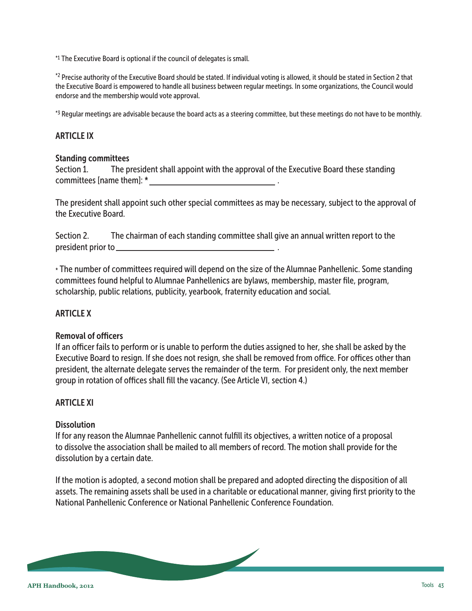\*1 The Executive Board is optional if the council of delegates is small.

\*<sup>2</sup> Precise authority of the Executive Board should be stated. If individual voting is allowed, it should be stated in Section 2 that the Executive Board is empowered to handle all business between regular meetings. In some organizations, the Council would endorse and the membership would vote approval.

 $*$ 3 Regular meetings are advisable because the board acts as a steering committee, but these meetings do not have to be monthly.

#### ARTICLE IX

#### Standing committees

Section 1. The president shall appoint with the approval of the Executive Board these standing committees [name them]: \* .

The president shall appoint such other special committees as may be necessary, subject to the approval of the Executive Board.

Section 2. The chairman of each standing committee shall give an annual written report to the president prior to .

\* The number of committees required will depend on the size of the Alumnae Panhellenic. Some standing committees found helpful to Alumnae Panhellenics are bylaws, membership, master file, program, scholarship, public relations, publicity, yearbook, fraternity education and social.

#### ARTICLE X

#### Removal of officers

If an officer fails to perform or is unable to perform the duties assigned to her, she shall be asked by the Executive Board to resign. If she does not resign, she shall be removed from office. For offices other than president, the alternate delegate serves the remainder of the term. For president only, the next member group in rotation of offices shall fill the vacancy. (See Article VI, section 4.)

#### ARTICLE XI

#### **Dissolution**

If for any reason the Alumnae Panhellenic cannot fulfill its objectives, a written notice of a proposal to dissolve the association shall be mailed to all members of record. The motion shall provide for the dissolution by a certain date.

If the motion is adopted, a second motion shall be prepared and adopted directing the disposition of all assets. The remaining assets shall be used in a charitable or educational manner, giving first priority to the National Panhellenic Conference or National Panhellenic Conference Foundation.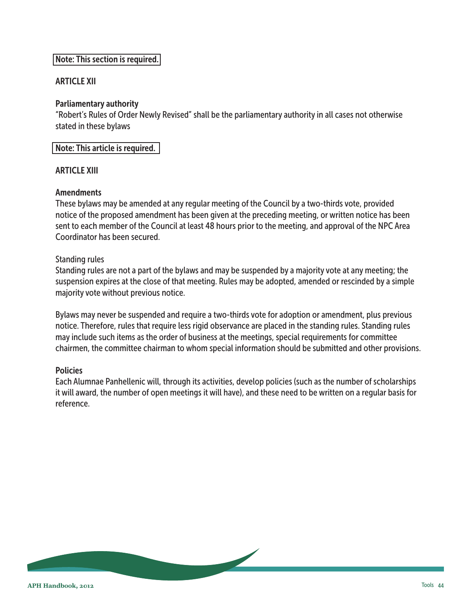## Note: This section is required.

#### ARTICLE XII

#### Parliamentary authority

"Robert's Rules of Order Newly Revised" shall be the parliamentary authority in all cases not otherwise stated in these bylaws

Note: This article is required.

#### ARTICLE XIII

#### **Amendments**

These bylaws may be amended at any regular meeting of the Council by a two-thirds vote, provided notice of the proposed amendment has been given at the preceding meeting, or written notice has been sent to each member of the Council at least 48 hours prior to the meeting, and approval of the NPC Area Coordinator has been secured.

#### Standing rules

Standing rules are not a part of the bylaws and may be suspended by a majority vote at any meeting; the suspension expires at the close of that meeting. Rules may be adopted, amended or rescinded by a simple majority vote without previous notice.

Bylaws may never be suspended and require a two-thirds vote for adoption or amendment, plus previous notice. Therefore, rules that require less rigid observance are placed in the standing rules. Standing rules may include such items as the order of business at the meetings, special requirements for committee chairmen, the committee chairman to whom special information should be submitted and other provisions.

#### **Policies**

Each Alumnae Panhellenic will, through its activities, develop policies (such as the number of scholarships it will award, the number of open meetings it will have), and these need to be written on a regular basis for reference.

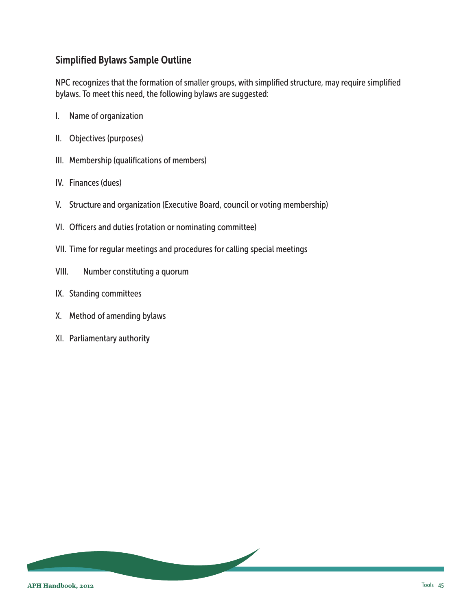## <span id="page-44-0"></span>Simplified Bylaws Sample Outline

NPC recognizes that the formation of smaller groups, with simplified structure, may require simplified bylaws. To meet this need, the following bylaws are suggested:

- I. Name of organization
- II. Objectives (purposes)
- III. Membership (qualifications of members)
- IV. Finances (dues)
- V. Structure and organization (Executive Board, council or voting membership)
- VI. Officers and duties (rotation or nominating committee)
- VII. Time for regular meetings and procedures for calling special meetings
- VIII. Number constituting a quorum
- IX. Standing committees
- X. Method of amending bylaws
- XI. Parliamentary authority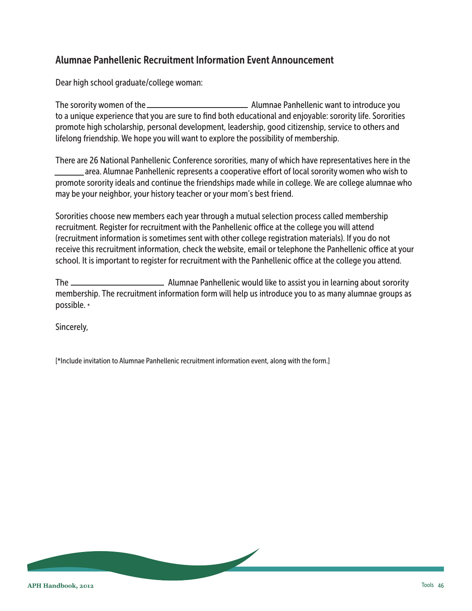## <span id="page-45-0"></span>Alumnae Panhellenic Recruitment Information Event Announcement

Dear high school graduate/college woman:

The sorority women of the Alumnae Panhellenic want to introduce you to a unique experience that you are sure to find both educational and enjoyable: sorority life. Sororities promote high scholarship, personal development, leadership, good citizenship, service to others and lifelong friendship. We hope you will want to explore the possibility of membership.

There are 26 National Panhellenic Conference sororities, many of which have representatives here in the area. Alumnae Panhellenic represents a cooperative effort of local sorority women who wish to promote sorority ideals and continue the friendships made while in college. We are college alumnae who may be your neighbor, your history teacher or your mom's best friend.

Sororities choose new members each year through a mutual selection process called membership recruitment. Register for recruitment with the Panhellenic office at the college you will attend (recruitment information is sometimes sent with other college registration materials). If you do not receive this recruitment information, check the website, email or telephone the Panhellenic office at your school. It is important to register for recruitment with the Panhellenic office at the college you attend.

The Alumnae Panhellenic would like to assist you in learning about sorority membership. The recruitment information form will help us introduce you to as many alumnae groups as possible. \*

Sincerely,

[\*Include invitation to Alumnae Panhellenic recruitment information event, along with the form.]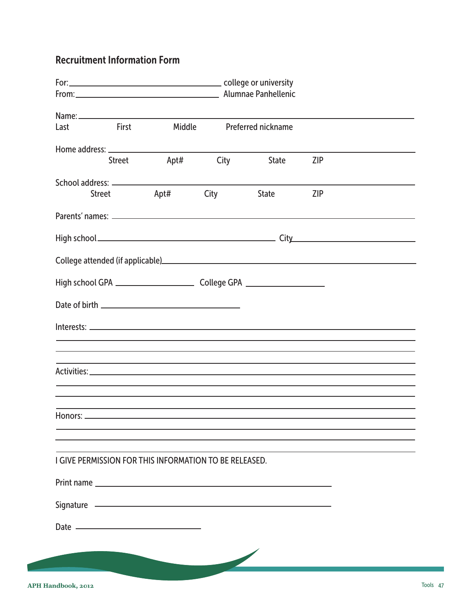## <span id="page-46-0"></span>Recruitment Information Form

| <b>Example 18 First</b><br>Last                        |  | Middle           |      | <b>Preferred nickname</b>                                                                                      |            |  |
|--------------------------------------------------------|--|------------------|------|----------------------------------------------------------------------------------------------------------------|------------|--|
|                                                        |  |                  |      |                                                                                                                |            |  |
|                                                        |  | Street Apt# City |      | <b>State</b>                                                                                                   | <b>ZIP</b> |  |
|                                                        |  |                  |      |                                                                                                                |            |  |
| <b>Street</b>                                          |  | Apt#             | City | State                                                                                                          | <b>ZIP</b> |  |
|                                                        |  |                  |      |                                                                                                                |            |  |
|                                                        |  |                  |      |                                                                                                                |            |  |
|                                                        |  |                  |      | College attended (if applicable) https://www.assett.com/discrete and all and all and all and all and all and a |            |  |
|                                                        |  |                  |      |                                                                                                                |            |  |
|                                                        |  |                  |      |                                                                                                                |            |  |
|                                                        |  |                  |      |                                                                                                                |            |  |
|                                                        |  |                  |      |                                                                                                                |            |  |
|                                                        |  |                  |      |                                                                                                                |            |  |
|                                                        |  |                  |      |                                                                                                                |            |  |
|                                                        |  |                  |      |                                                                                                                |            |  |
|                                                        |  |                  |      |                                                                                                                |            |  |
|                                                        |  |                  |      |                                                                                                                |            |  |
| I GIVE PERMISSION FOR THIS INFORMATION TO BE RELEASED. |  |                  |      |                                                                                                                |            |  |
|                                                        |  |                  |      |                                                                                                                |            |  |
| Signature 2008 Committee Signature 2008                |  |                  |      |                                                                                                                |            |  |
|                                                        |  |                  |      |                                                                                                                |            |  |
|                                                        |  |                  |      |                                                                                                                |            |  |
|                                                        |  |                  |      |                                                                                                                |            |  |
|                                                        |  |                  |      |                                                                                                                |            |  |
|                                                        |  |                  |      |                                                                                                                |            |  |

**COLLEGE**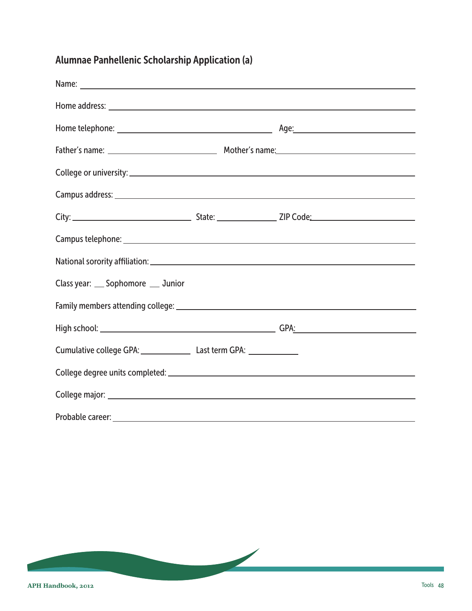# <span id="page-47-0"></span>Alumnae Panhellenic Scholarship Application (a)

| Class year: __ Sophomore __ Junior                    |  |
|-------------------------------------------------------|--|
|                                                       |  |
|                                                       |  |
| Cumulative college GPA: Last term GPA: Last term GPA: |  |
|                                                       |  |
|                                                       |  |
| Probable career:                                      |  |

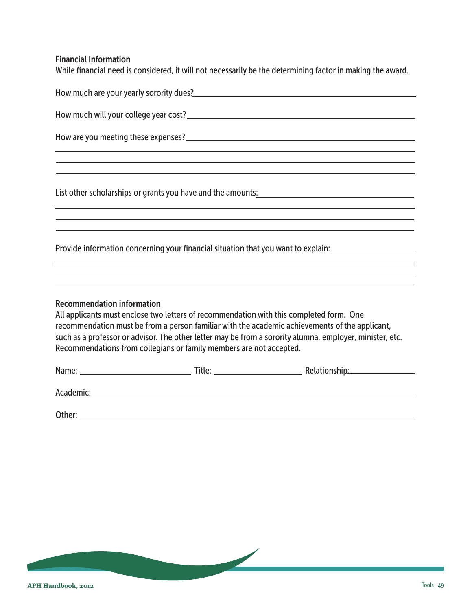## Financial Information

While financial need is considered, it will not necessarily be the determining factor in making the award.

|                                                                                                          | How much are your yearly sorority dues?<br>The matter of the contract of the contract of the contract of the contract of the contract of the contract of the contract of the contract of the contract of the contract of the con                                                                      |
|----------------------------------------------------------------------------------------------------------|-------------------------------------------------------------------------------------------------------------------------------------------------------------------------------------------------------------------------------------------------------------------------------------------------------|
|                                                                                                          |                                                                                                                                                                                                                                                                                                       |
|                                                                                                          |                                                                                                                                                                                                                                                                                                       |
|                                                                                                          | ,我们也不会有什么。""我们的人,我们也不会有什么?""我们的人,我们也不会有什么?""我们的人,我们也不会有什么?""我们的人,我们也不会有什么?""我们的人                                                                                                                                                                                                                      |
|                                                                                                          |                                                                                                                                                                                                                                                                                                       |
|                                                                                                          |                                                                                                                                                                                                                                                                                                       |
|                                                                                                          | Provide information concerning your financial situation that you want to explain:                                                                                                                                                                                                                     |
|                                                                                                          |                                                                                                                                                                                                                                                                                                       |
| <b>Recommendation information</b><br>Recommendations from collegians or family members are not accepted. | All applicants must enclose two letters of recommendation with this completed form. One<br>recommendation must be from a person familiar with the academic achievements of the applicant,<br>such as a professor or advisor. The other letter may be from a sorority alumna, employer, minister, etc. |
|                                                                                                          |                                                                                                                                                                                                                                                                                                       |
|                                                                                                          |                                                                                                                                                                                                                                                                                                       |
|                                                                                                          |                                                                                                                                                                                                                                                                                                       |

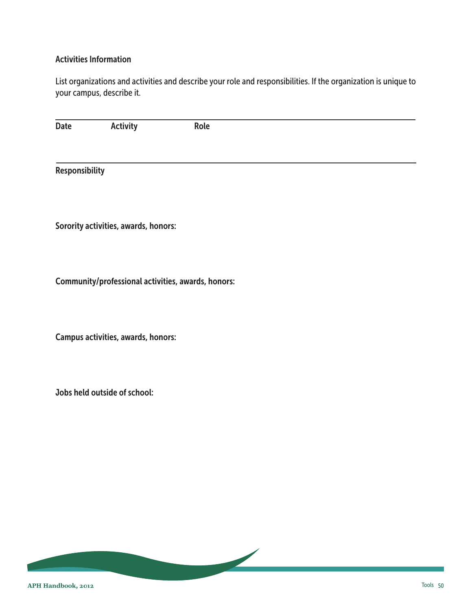#### Activities Information

List organizations and activities and describe your role and responsibilities. If the organization is unique to your campus, describe it.

| <b>Date</b>    | <b>Activity</b>                      | Role                                               |  |
|----------------|--------------------------------------|----------------------------------------------------|--|
|                |                                      |                                                    |  |
|                |                                      |                                                    |  |
| Responsibility |                                      |                                                    |  |
|                |                                      |                                                    |  |
|                |                                      |                                                    |  |
|                | Sorority activities, awards, honors: |                                                    |  |
|                |                                      |                                                    |  |
|                |                                      |                                                    |  |
|                |                                      | Community/professional activities, awards, honors: |  |
|                |                                      |                                                    |  |
|                |                                      |                                                    |  |
|                | Campus activities, awards, honors:   |                                                    |  |
|                |                                      |                                                    |  |
|                |                                      |                                                    |  |
|                | Jobs held outside of school:         |                                                    |  |
|                |                                      |                                                    |  |
|                |                                      |                                                    |  |
|                |                                      |                                                    |  |
|                |                                      |                                                    |  |

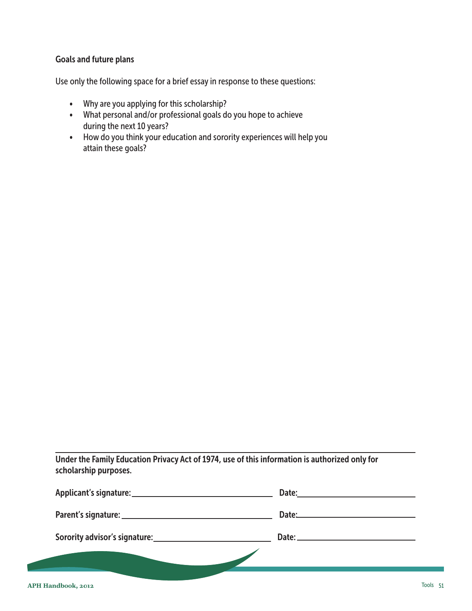#### Goals and future plans

Use only the following space for a brief essay in response to these questions:

- Why are you applying for this scholarship?
- What personal and/or professional goals do you hope to achieve during the next 10 years?
- How do you think your education and sorority experiences will help you attain these goals?

Under the Family Education Privacy Act of 1974, use of this information is authorized only for scholarship purposes.

| Date: the contract of the contract of the contract of the contract of the contract of the contract of the contract of the contract of the contract of the contract of the contract of the contract of the contract of the cont |
|--------------------------------------------------------------------------------------------------------------------------------------------------------------------------------------------------------------------------------|
| Date: <u>Date: Experience</u>                                                                                                                                                                                                  |
|                                                                                                                                                                                                                                |
|                                                                                                                                                                                                                                |
|                                                                                                                                                                                                                                |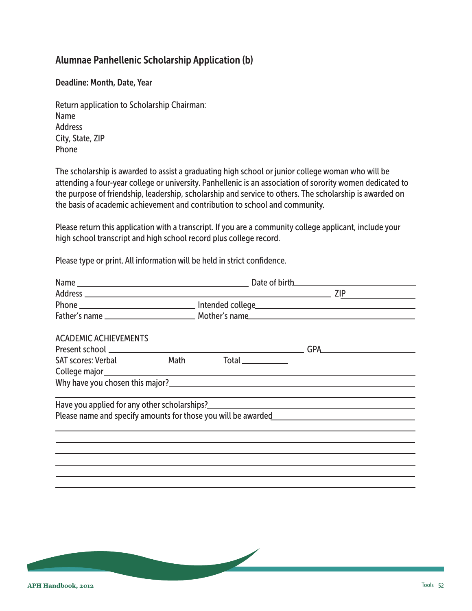## <span id="page-51-0"></span>Alumnae Panhellenic Scholarship Application (b)

Deadline: Month, Date, Year

Return application to Scholarship Chairman: Name Address City, State, ZIP Phone

The scholarship is awarded to assist a graduating high school or junior college woman who will be attending a four-year college or university. Panhellenic is an association of sorority women dedicated to the purpose of friendship, leadership, scholarship and service to others. The scholarship is awarded on the basis of academic achievement and contribution to school and community.

Please return this application with a transcript. If you are a community college applicant, include your high school transcript and high school record plus college record.

Please type or print. All information will be held in strict confidence.

| Present school <u>example and the set of the set of the set of the set of the set of the set of the set of the set of the set of the set of the set of the set of the set of the set of the set of the set of the set of the set</u><br>GPA <b>Samuel Communist Service</b> |
|-----------------------------------------------------------------------------------------------------------------------------------------------------------------------------------------------------------------------------------------------------------------------------|
|                                                                                                                                                                                                                                                                             |
|                                                                                                                                                                                                                                                                             |
|                                                                                                                                                                                                                                                                             |
|                                                                                                                                                                                                                                                                             |
| Please name and specify amounts for those you will be awarded                                                                                                                                                                                                               |
|                                                                                                                                                                                                                                                                             |
|                                                                                                                                                                                                                                                                             |
|                                                                                                                                                                                                                                                                             |
|                                                                                                                                                                                                                                                                             |
|                                                                                                                                                                                                                                                                             |

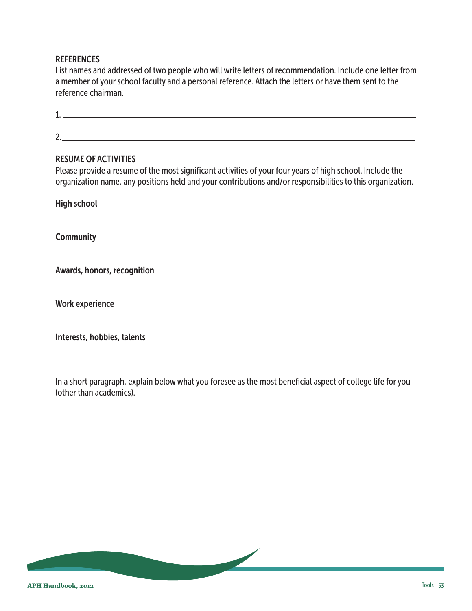#### **REFERENCES**

List names and addressed of two people who will write letters of recommendation. Include one letter from a member of your school faculty and a personal reference. Attach the letters or have them sent to the reference chairman.

1. 2.

#### RESUME OF ACTIVITIES

Please provide a resume of the most significant activities of your four years of high school. Include the organization name, any positions held and your contributions and/or responsibilities to this organization.

High school

**Community** 

Awards, honors, recognition

Work experience

Interests, hobbies, talents

In a short paragraph, explain below what you foresee as the most beneficial aspect of college life for you (other than academics).

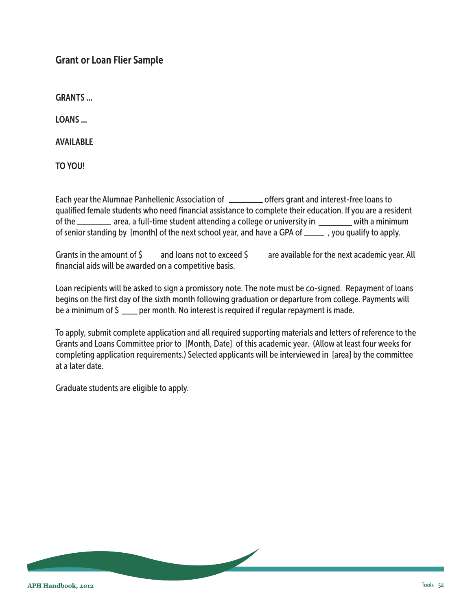## <span id="page-53-0"></span>Grant or Loan Flier Sample

GRANTS ...

LOANS ...

AVAILABLE

TO YOU!

Each year the Alumnae Panhellenic Association of \_\_\_\_\_\_\_\_\_\_\_ offers grant and interest-free loans to qualified female students who need financial assistance to complete their education. If you are a resident of the \_\_\_\_\_\_\_\_ area, a full-time student attending a college or university in with a minimum of senior standing by [month] of the next school year, and have a GPA of \_\_\_\_\_\_\_\_, you qualify to apply.

Grants in the amount of  $\zeta$  and loans not to exceed  $\zeta$  are available for the next academic year. All financial aids will be awarded on a competitive basis.

Loan recipients will be asked to sign a promissory note. The note must be co-signed. Repayment of loans begins on the first day of the sixth month following graduation or departure from college. Payments will be a minimum of  $\zeta$  \_\_\_\_ per month. No interest is required if regular repayment is made.

To apply, submit complete application and all required supporting materials and letters of reference to the Grants and Loans Committee prior to [Month, Date] of this academic year. (Allow at least four weeks for completing application requirements.) Selected applicants will be interviewed in [area] by the committee at a later date.

Graduate students are eligible to apply.

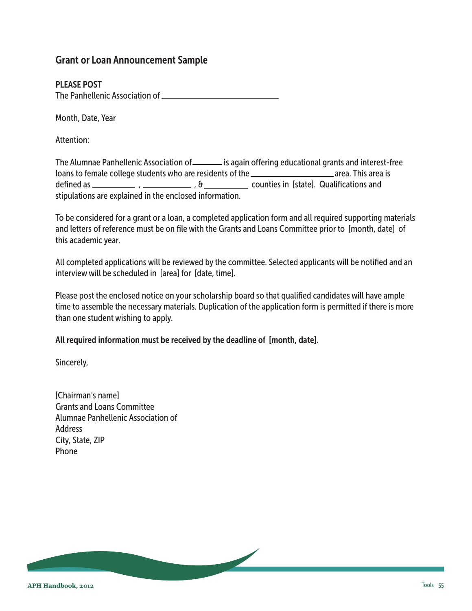## <span id="page-54-0"></span>Grant or Loan Announcement Sample

#### PLEASE POST

The Panhellenic Association of

Month, Date, Year

Attention:

The Alumnae Panhellenic Association of its again offering educational grants and interest-free loans to female college students who are residents of the **contained area.** This area is defined as  $\frac{1}{1}$ ,  $\frac{1}{1}$ ,  $\frac{1}{1}$ ,  $\frac{1}{1}$ ,  $\frac{1}{1}$ ,  $\frac{1}{1}$ ,  $\frac{1}{1}$ ,  $\frac{1}{1}$ ,  $\frac{1}{1}$ ,  $\frac{1}{1}$ ,  $\frac{1}{1}$ ,  $\frac{1}{1}$ ,  $\frac{1}{1}$ ,  $\frac{1}{1}$ ,  $\frac{1}{1}$ ,  $\frac{1}{1}$ ,  $\frac{1}{1}$ ,  $\frac{1}{1}$ ,  $\frac{1}{1}$ , stipulations are explained in the enclosed information.

To be considered for a grant or a loan, a completed application form and all required supporting materials and letters of reference must be on file with the Grants and Loans Committee prior to [month, date] of this academic year.

All completed applications will be reviewed by the committee. Selected applicants will be notified and an interview will be scheduled in [area] for [date, time].

Please post the enclosed notice on your scholarship board so that qualified candidates will have ample time to assemble the necessary materials. Duplication of the application form is permitted if there is more than one student wishing to apply.

All required information must be received by the deadline of [month, date].

Sincerely,

[Chairman's name] Grants and Loans Committee Alumnae Panhellenic Association of Address City, State, ZIP Phone

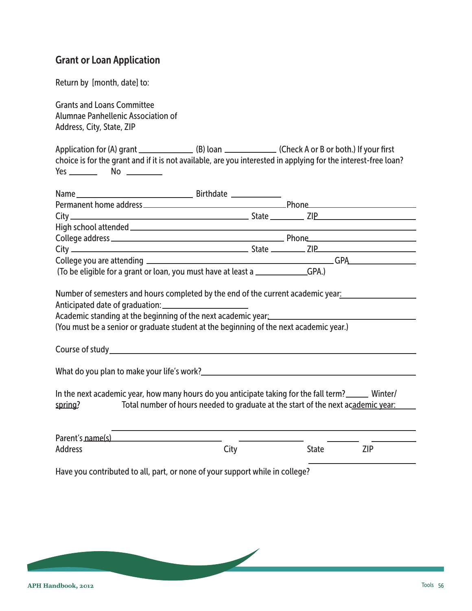## <span id="page-55-0"></span>Grant or Loan Application

Return by [month, date] to:

Grants and Loans Committee Alumnae Panhellenic Association of Address, City, State, ZIP

Application for (A) grant (B) loan (B) loan (Check A or B or both.) If your first choice is for the grant and if it is not available, are you interested in applying for the interest-free loan? Yes No

|                | (To be eligible for a grant or loan, you must have at least a ______________GPA.)                                                                                                                                                               |       |            |
|----------------|-------------------------------------------------------------------------------------------------------------------------------------------------------------------------------------------------------------------------------------------------|-------|------------|
|                | Number of semesters and hours completed by the end of the current academic year:<br>Academic standing at the beginning of the next academic year:<br><br>(You must be a senior or graduate student at the beginning of the next academic year.) |       |            |
|                |                                                                                                                                                                                                                                                 |       |            |
|                |                                                                                                                                                                                                                                                 |       |            |
| spring?        | In the next academic year, how many hours do you anticipate taking for the fall term? ______ Winter/<br>Total number of hours needed to graduate at the start of the next academic year:                                                        |       |            |
|                | Parent's name(s) example a series of the series of the series of the series of the series of the series of the                                                                                                                                  |       |            |
| <b>Address</b> | City                                                                                                                                                                                                                                            | State | <b>ZIP</b> |
|                | Have you contributed to all, part, or none of your support while in college?                                                                                                                                                                    |       |            |

 $\sqrt{2}$